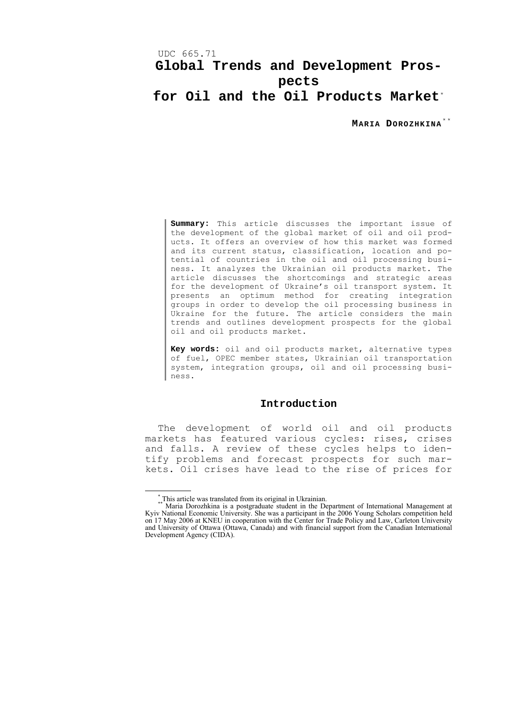## UDC 665.71 **Global Trends and Development Prospects for Oil and the Oil Products Market**[\\*](#page-0-0)

**MARIA DOROZHKINA** [\\* \\*](#page-0-1)

**Summary:** This article discusses the important issue of the development of the global market of oil and oil products. It offers an overview of how this market was formed and its current status, classification, location and potential of countries in the oil and oil processing business. It analyzes the Ukrainian oil products market. The article discusses the shortcomings and strategic areas for the development of Ukraine's oil transport system. It presents an optimum method for creating integration groups in order to develop the oil processing business in Ukraine for the future. The article considers the main trends and outlines development prospects for the global oil and oil products market.

**Key words:** oil and oil products market, alternative types of fuel, OPEC member states, Ukrainian oil transportation system, integration groups, oil and oil processing business.

#### **Introduction**

The development of world oil and oil products markets has featured various cycles: rises, crises and falls. A review of these cycles helps to identify problems and forecast prospects for such markets. Oil crises have lead to the rise of prices for

<span id="page-0-1"></span><span id="page-0-0"></span> <sup>\*</sup> This article was translated from its original in Ukrainian. \*\* Maria Dorozhkina is a postgraduate student in the Department of International Management at Kyiv National Economic University. She was a participant in the 2006 Young Scholars competition held on 17 May 2006 at KNEU in cooperation with the Center for Trade Policy and Law, Carleton University and University of Ottawa (Ottawa, Canada) and with financial support from the Canadian International Development Agency (CIDA).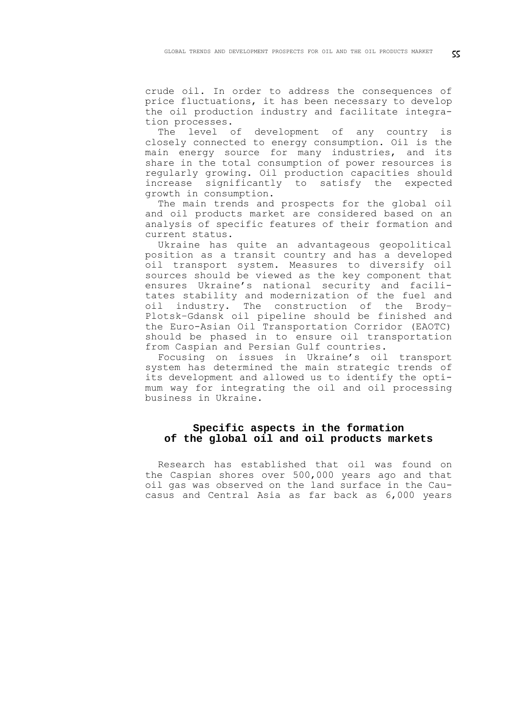crude oil. In order to address the consequences of price fluctuations, it has been necessary to develop the oil production industry and facilitate integration processes.

The level of development of any country is closely connected to energy consumption. Oil is the main energy source for many industries, and its share in the total consumption of power resources is regularly growing. Oil production capacities should increase significantly to satisfy the expected growth in consumption.

The main trends and prospects for the global oil and oil products market are considered based on an analysis of specific features of their formation and current status.

Ukraine has quite an advantageous geopolitical position as a transit country and has a developed oil transport system. Measures to diversify oil sources should be viewed as the key component that ensures Ukraine's national security and facilitates stability and modernization of the fuel and oil industry. The construction of the Brody– Plotsk–Gdansk oil pipeline should be finished and the Euro-Asian Oil Transportation Corridor (EAOTC) should be phased in to ensure oil transportation from Caspian and Persian Gulf countries.

Focusing on issues in Ukraine's oil transport system has determined the main strategic trends of its development and allowed us to identify the optimum way for integrating the oil and oil processing business in Ukraine.

## **Specific aspects in the formation of the global oil and oil products markets**

Research has established that oil was found on the Caspian shores over 500,000 years ago and that oil gas was observed on the land surface in the Caucasus and Central Asia as far back as 6,000 years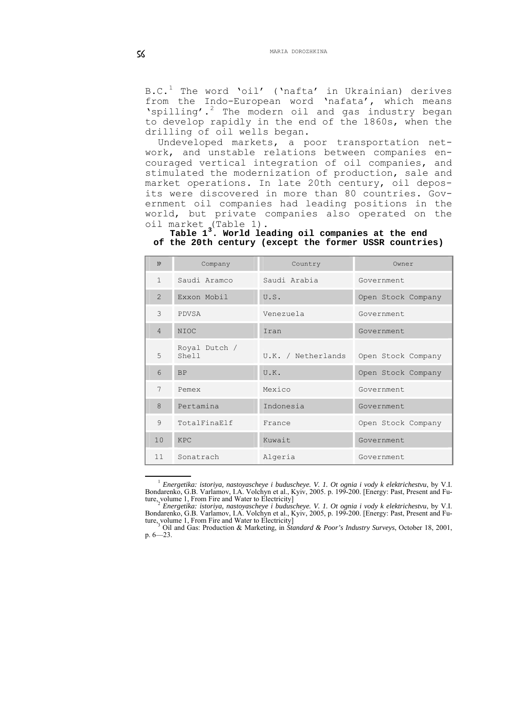B.C. $^1$  $^1$  The word 'oil' ('nafta' in Ukrainian) derives from the Indo-European word 'nafata', which means 'spilling'.<sup>[2](#page-2-1)</sup> The modern oil and gas industry began to develop rapidly in the end of the 1860s, when the drilling of oil wells began.

Undeveloped markets, a poor transportation network, and unstable relations between companies encouraged vertical integration of oil companies, and stimulated the modernization of production, sale and market operations. In late 20th century, oil deposits were discovered in more than 80 countries. Government oil companies had leading positions in the world, but private companies also operated on the oil market (Table 1).

**Table 1[3](#page-2-2). World leading oil companies at the end of the 20th century (except the former USSR countries)** 

| N <sup>o</sup> | Company                | Country            | Owner              |
|----------------|------------------------|--------------------|--------------------|
| $\mathbf{1}$   | Saudi Aramco           | Saudi Arabia       | Government.        |
| $\overline{2}$ | Exxon Mobil            | U.S.               | Open Stock Company |
| 3              | PDVSA                  | Venezuela          | Government         |
| $\overline{4}$ | <b>NIOC</b>            | Iran               | Government         |
| 5              | Royal Dutch /<br>Shell | U.K. / Netherlands | Open Stock Company |
| 6              | <b>BP</b>              | U.K.               | Open Stock Company |
| 7              | Pemex                  | Mexico             | Government         |
| 8              | Pertamina              | Indonesia          | Government         |
| 9              | TotalFinaElf           | France             | Open Stock Company |
| 10             | <b>KPC</b>             | Kuwait             | Government         |
| 11             | Sonatrach              | Algeria            | Government         |

 <sup>1</sup> *Energetika: istoriya, nastoyascheye i buduscheye. V. 1. Ot ognia i vody k elektrichestvu*, by V.I. Bondarenko, G.B. Varlamov, I.A. Volchyn et al., Kyiv, 2005. p. 199-200. [Energy: Past, Present and Future, volume 1, From Fire and Water to Electricity] 2 *Energetika: istoriya, nastoyascheye i buduscheye. V. 1. Ot ognia i vody k elektrichestvu*, by V.I.

<span id="page-2-1"></span><span id="page-2-0"></span><sup>&</sup>lt;sup>2</sup> Energetika: istoriya, nastoyascheye i buduscheye. V. 1. Ot ognia i vody k elektrichestvu, by V.I. Bondarenko, G.B. Varlamov, I.A. Volchyn et al., Kyiv, 2005, p. 199-200. [Energy: Past, Present and Future, volume 1, From Fire and Water to Electricity]

<span id="page-2-2"></span>Oil and Gas: Production & Marketing, in *Standard & Poor's Industry Surveys*, October 18, 2001, p. 6—23.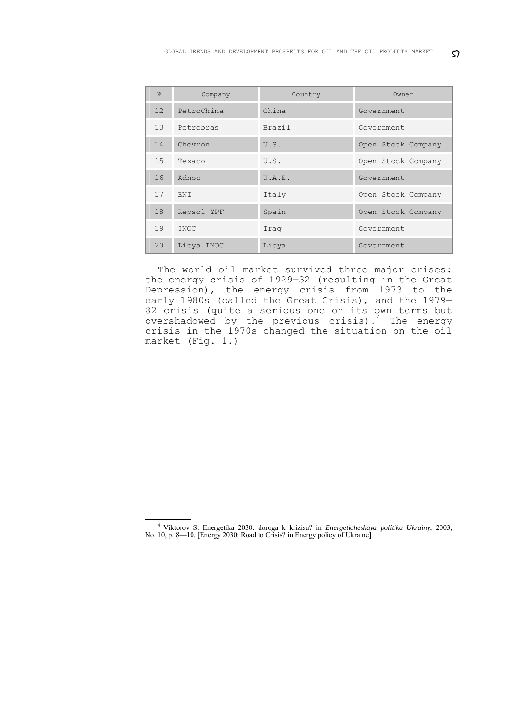| N <sup>o</sup>  | Company    | Country       | Owner              |
|-----------------|------------|---------------|--------------------|
| 12 <sup>°</sup> | PetroChina | China         | Government         |
| 13              | Petrobras  | <b>Brazil</b> | Government         |
| 14              | Chevron    | U.S.          | Open Stock Company |
| 15              | Texaco     | U.S.          | Open Stock Company |
| 16              | Adnoc      | U.A.E.        | Government         |
| 17              | ENI        | Italy         | Open Stock Company |
| 18              | Repsol YPF | Spain         | Open Stock Company |
| 19              | INOC       | Iraq          | Government         |
| 20              | Libya INOC | Libya         | Government         |

The world oil market survived three major crises: the energy crisis of 1929—32 (resulting in the Great Depression), the energy crisis from 1973 to the early 1980s (called the Great Crisis), and the 1979— 82 crisis (quite a serious one on its own terms but overshadowed by the previous crisis).<sup>[4](#page-3-0)</sup> The energy crisis in the 1970s changed the situation on the oil market (Fig. 1.)

<span id="page-3-0"></span> <sup>4</sup> Viktorov S. Energetika 2030: doroga k krizisu? in *Energeticheskaya politika Ukrainy*, 2003, No. 10, p. 8—10. [Energy 2030: Road to Crisis? in Energy policy of Ukraine]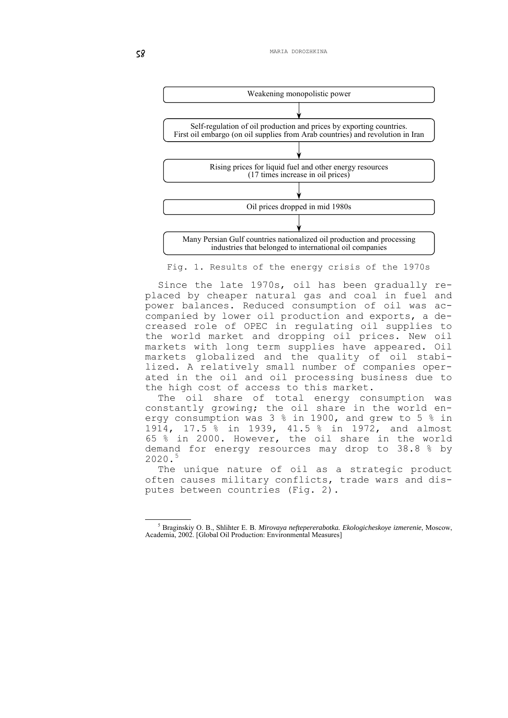

Fig. 1. Results of the energy crisis of the 1970s

Since the late 1970s, oil has been gradually replaced by cheaper natural gas and coal in fuel and power balances. Reduced consumption of oil was accompanied by lower oil production and exports, a decreased role of OPEC in regulating oil supplies to the world market and dropping oil prices. New oil markets with long term supplies have appeared. Oil markets globalized and the quality of oil stabilized. A relatively small number of companies operated in the oil and oil processing business due to the high cost of access to this market.

The oil share of total energy consumption was constantly growing; the oil share in the world energy consumption was 3 % in 1900, and grew to 5 % in 1914, 17.5 % in 1939, 41.5 % in 1972, and almost 65 % in 2000. However, the oil share in the world demand for energy resources may drop to 38.8 % by 2020.[5](#page-4-0)

The unique nature of oil as a strategic product often causes military conflicts, trade wars and disputes between countries (Fig. 2).

<span id="page-4-0"></span> $rac{1}{5}$  Braginskiy O. B., Shlihter E. B. *Mirovaya neftepererabotka. Ekologicheskoye izmerenie*, Мoscow, Academia, 2002. [Global Oil Production: Environmental Measures]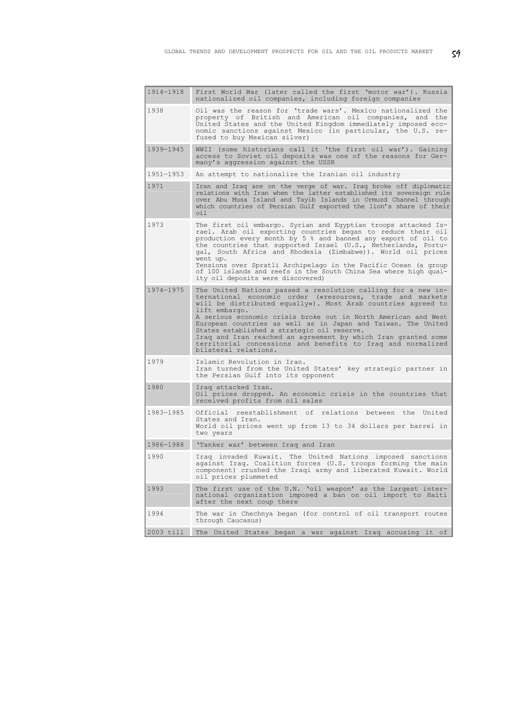| 1914-1918 | First World War (later called the first 'motor war'). Russia<br>nationalized oil companies, including foreign companies                                                                                                                                                                                                                                                                                                                                                                                                                              |
|-----------|------------------------------------------------------------------------------------------------------------------------------------------------------------------------------------------------------------------------------------------------------------------------------------------------------------------------------------------------------------------------------------------------------------------------------------------------------------------------------------------------------------------------------------------------------|
| 1938      | Oil was the reason for 'trade wars'. Mexico nationalized the<br>property of British and American oil companies, and the<br>United States and the United Kingdom immediately imposed eco-<br>nomic sanctions against Mexico (in particular, the U.S. re-<br>fused to buy Mexican silver)                                                                                                                                                                                                                                                              |
| 1939-1945 | WWII (some historians call it 'the first oil war'). Gaining<br>access to Soviet oil deposits was one of the reasons for Ger-<br>many's aggression against the USSR                                                                                                                                                                                                                                                                                                                                                                                   |
| 1951-1953 | An attempt to nationalize the Iranian oil industry                                                                                                                                                                                                                                                                                                                                                                                                                                                                                                   |
| 1971      | Iran and Iraq are on the verge of war. Iraq broke off diplomatic<br>relations with Iran when the latter established its sovereign rule<br>over Abu Musa Island and Tayib Islands in Ormuzd Channel through<br>which countries of Persian Gulf exported the lion's share of their<br>oil                                                                                                                                                                                                                                                              |
| 1973      | The first oil embargo. Syrian and Egyptian troops attacked Is-<br>rael. Arab oil exporting countries began to reduce their oil<br>production every month by 5 % and banned any export of oil to<br>the countries that supported Israel (U.S., Netherlands, Portu-<br>gal, South Africa and Rhodesia (Zimbabwe)). World oil prices<br>went up.<br>Tensions over Spratli Archipelago in the Pacific Ocean (a group<br>of 100 islands and reefs in the South China Sea where high qual-<br>ity oil deposits were discovered)                            |
| 1974-1975 | The United Nations passed a resolution calling for a new in-<br>ternational economic order («resources, trade and markets<br>will be distributed equally»). Most Arab countries agreed to<br>lift embargo.<br>A serious economic crisis broke out in North American and West<br>European countries as well as in Japan and Taiwan. The United<br>States established a strategic oil reserve.<br>Iraq and Iran reached an agreement by which Iran granted some<br>territorial concessions and benefits to Iraq and normalized<br>bilateral relations. |
| 1979      | Islamic Revolution in Iran.<br>Iran turned from the United States' key strategic partner in<br>the Persian Gulf into its opponent                                                                                                                                                                                                                                                                                                                                                                                                                    |
| 1980      | Iraq attacked Iran.<br>Oil prices dropped. An economic crisis in the countries that<br>received profits from oil sales                                                                                                                                                                                                                                                                                                                                                                                                                               |
| 1983-1985 | Official reestablishment of relations between the United<br>States and Iran.<br>World oil prices went up from 13 to 34 dollars per barrel in<br>two years                                                                                                                                                                                                                                                                                                                                                                                            |
| 1986-1988 | 'Tanker war' between Iraq and Iran                                                                                                                                                                                                                                                                                                                                                                                                                                                                                                                   |
| 1990      | Iraq invaded Kuwait. The United Nations imposed sanctions<br>against Iraq. Coalition forces (U.S. troops forming the main<br>component) crushed the Iraqi army and liberated Kuwait. World<br>oil prices plummeted                                                                                                                                                                                                                                                                                                                                   |
| 1993      | The first use of the U.N. 'oil weapon' as the largest inter-<br>national organization imposed a ban on oil import to Haiti<br>after the next coup there                                                                                                                                                                                                                                                                                                                                                                                              |
| 1994      | The war in Chechnya began (for control of oil transport routes<br>through Caucasus)                                                                                                                                                                                                                                                                                                                                                                                                                                                                  |
| 2003 till | The United States began a war against Iraq accusing it of                                                                                                                                                                                                                                                                                                                                                                                                                                                                                            |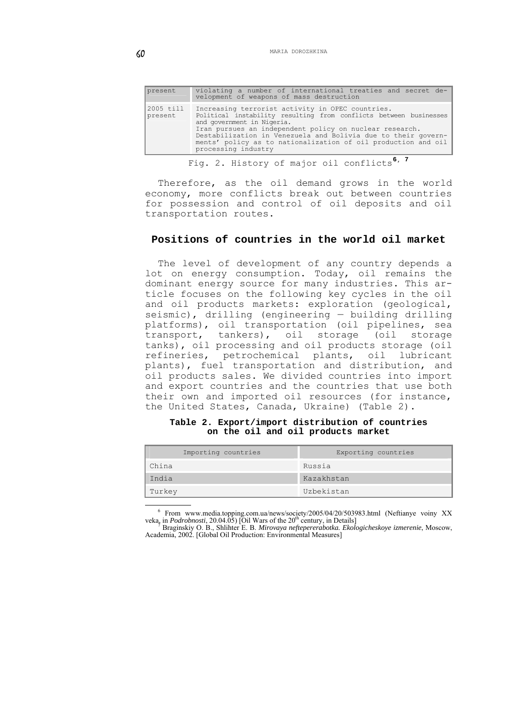| present              | violating a number of international treaties and secret de-<br>velopment of weapons of mass destruction                                                                                                                                                                                                                                                                 |
|----------------------|-------------------------------------------------------------------------------------------------------------------------------------------------------------------------------------------------------------------------------------------------------------------------------------------------------------------------------------------------------------------------|
| 2005 till<br>present | Increasing terrorist activity in OPEC countries.<br>Political instability resulting from conflicts between businesses<br>and government in Nigeria.<br>Iran pursues an independent policy on nuclear research.<br>Destabilization in Venezuela and Bolivia due to their govern-<br>ments' policy as to nationalization of oil production and oil<br>processing industry |
|                      |                                                                                                                                                                                                                                                                                                                                                                         |

Fig. 2. History of major oil conflicts**[6](#page-6-0)**, **[7](#page-6-1)**

Therefore, as the oil demand grows in the world economy, more conflicts break out between countries for possession and control of oil deposits and oil transportation routes.

## **Positions of countries in the world oil market**

The level of development of any country depends a lot on energy consumption. Today, oil remains the dominant energy source for many industries. This article focuses on the following key cycles in the oil and oil products markets: exploration (geological, seismic), drilling (engineering — building drilling platforms), oil transportation (oil pipelines, sea transport, tankers), oil storage (oil storage tanks), oil processing and oil products storage (oil refineries, petrochemical plants, oil lubricant plants), fuel transportation and distribution, and oil products sales. We divided countries into import and export countries and the countries that use both their own and imported oil resources (for instance, the United States, Canada, Ukraine) (Table 2).

|  |  |  |                                    | Table 2. Export/import distribution of countries |
|--|--|--|------------------------------------|--------------------------------------------------|
|  |  |  | on the oil and oil products market |                                                  |

| Importing countries | Exporting countries |
|---------------------|---------------------|
| China               | Russia              |
| India               | Kazakhstan          |
| Turkey              | Uzbekistan          |

<sup>&</sup>lt;sup>6</sup> From [www.media.topping.com.ua/news/society/2005/04/20/503983.html](http://www.media.topping.com.ua/news/society/2005/04/20/503983.html) (Neftianye voiny XX veka, in *Podrobnosti*, 20.04.05) [Oil Wars of the 20<sup>th</sup> century, in Details]<br><sup>5</sup> Braginskiy O. B., Shlihter E. B. *Mirovaya nefte* 

<span id="page-6-1"></span><span id="page-6-0"></span>Academia, 2002. [Global Oil Production: Environmental Measures]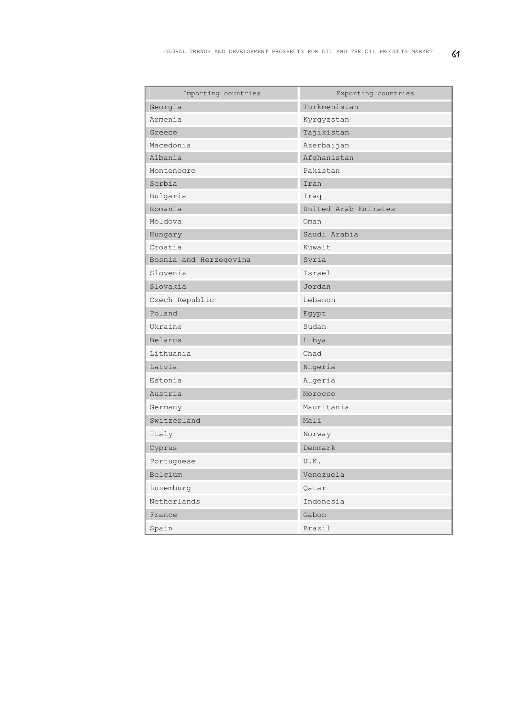| Importing countries    | Exporting countries  |
|------------------------|----------------------|
| Georgia                | Turkmenistan         |
| Armenia                | Kyrgyzstan           |
| Greece                 | Tajikistan           |
| Macedonia              | Azerbaijan           |
| Albania                | Afghanistan          |
| Montenegro             | Pakistan             |
| Serbia                 | Iran                 |
| Bulgaria               | Iraq                 |
| Romania                | United Arab Emirates |
| Moldova                | Oman                 |
| Hungary                | Saudi Arabia         |
| Croatia                | Kuwait               |
| Bosnia and Herzegovina | Syria                |
| Slovenia               | Israel               |
| Slovakia               | Jordan               |
| Czech Republic         | Lebanon              |
| Poland                 | Egypt                |
| Ukraine                | Sudan                |
| Belarus                | Libya                |
| Lithuania              | Chad                 |
| Latvia                 | Nigeria              |
| Estonia                | Algeria              |
| Austria                | Morocco              |
| Germany                | Mauritania           |
| Switzerland            | Mali                 |
| Italy                  | Norway               |
| Cyprus                 | Denmark              |
| Portuquese             | U.K.                 |
| Belgium                | Venezuela            |
| Luxemburg              | Qatar                |
| Netherlands            | Indonesia            |
| France                 | Gabon                |
| Spain                  | Brazil               |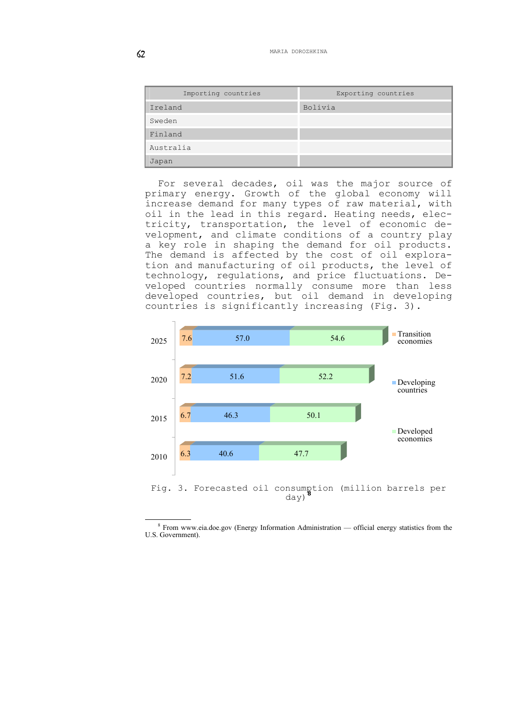| Importing countries | Exporting countries |
|---------------------|---------------------|
| Ireland             | Bolivia             |
| Sweden              |                     |
| Finland             |                     |
| Australia           |                     |
| Japan               |                     |

For several decades, oil was the major source of primary energy. Growth of the global economy will increase demand for many types of raw material, with oil in the lead in this regard. Heating needs, electricity, transportation, the level of economic development, and climate conditions of a country play a key role in shaping the demand for oil products. The demand is affected by the cost of oil exploration and manufacturing of oil products, the level of technology, regulations, and price fluctuations. Developed countries normally consume more than less developed countries, but oil demand in developing countries is significantly increasing (Fig. 3).



<span id="page-8-0"></span> $\frac{1}{8}$  $8$  From www.eia.doe.gov (Energy Information Administration — official energy statistics from the U.S. Government).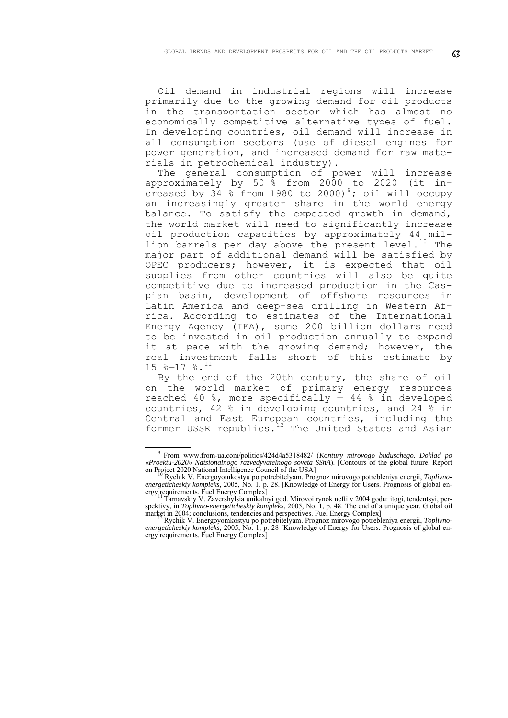Oil demand in industrial regions will increase primarily due to the growing demand for oil products in the transportation sector which has almost no economically competitive alternative types of fuel. In developing countries, oil demand will increase in all consumption sectors (use of diesel engines for power generation, and increased demand for raw materials in petrochemical industry).

The general consumption of power will increase approximately by 50 % from 2000 to 2020 (it increased by  $34 \div 1980$  $34 \div 1980$  $34 \div 1980$  to 2000)<sup>9</sup>; oil will occupy an increasingly greater share in the world energy balance. To satisfy the expected growth in demand, the world market will need to significantly increase oil production capacities by approximately 44 million barrels per day above the present level.<sup>10</sup> The major part of additional demand will be satisfied by OPEC producers; however, it is expected that oil supplies from other countries will also be quite competitive due to increased production in the Caspian basin, development of offshore resources in Latin America and deep-sea drilling in Western Africa. According to estimates of the International Energy Agency (IEA), some 200 billion dollars need to be invested in oil production annually to expand it at pace with the growing demand; however, the real investment falls short of this estimate by  $15$   $\textdegree{-}17$   $\textdegree{\cdot}11$  $\textdegree{\cdot}11$ 

By the end of the 20th century, the share of oil on the world market of primary energy resources reached 40 %, more specifically — 44 % in developed countries, 42 % in developing countries, and 24 % in Central and East European countries, including the former USSR republics.[12](#page-9-3) The United States and Asian

1

<sup>9</sup> From [www.from-ua.com/politics/424d4a5318482/](http://www.from-ua.com/politics/424d4a5318482/) (*Kontury mirovogo buduschego. Doklad po «Proektu-2020» Natsionalnogo razvedyvatelnogo soveta SShA*). [Contours of the global future. Report on Project 2020 National Intelligence Council of the USA] 10 Rychik V. Energoyomkostyu po potrebitelyam. Prognoz mirovogo potrebleniya energii, *Toplivno-*

<span id="page-9-1"></span><span id="page-9-0"></span>*energeticheskiy kompleks*, 2005, No. 1, p. 28. [Knowledge of Energy for Users. Prognosis of global energy requirements. Fuel Energy Complex]<br><sup>11</sup> Tarnavskiy V. Zavershylsia unikalnyi god. Mirovoi rynok nefti v 2004 godu: itogi, tendentsyi, per-

<span id="page-9-2"></span>spektivy, in *Toplivno-energeticheskiy kompleks*, 2005, No. 1, p. 48. The end of a unique year. Global oil market in 2004; conclusions, tendencies and perspectives. Fuel Energy Complex] 12 Rychik V. Energoyomkostyu po potrebitelyam. Prognoz mirovogo potrebleniya energii, *Toplivno-*

<span id="page-9-3"></span>*energeticheskiy kompleks*, 2005, No. 1, p. 28 [Knowledge of Energy for Users. Prognosis of global energy requirements. Fuel Energy Complex]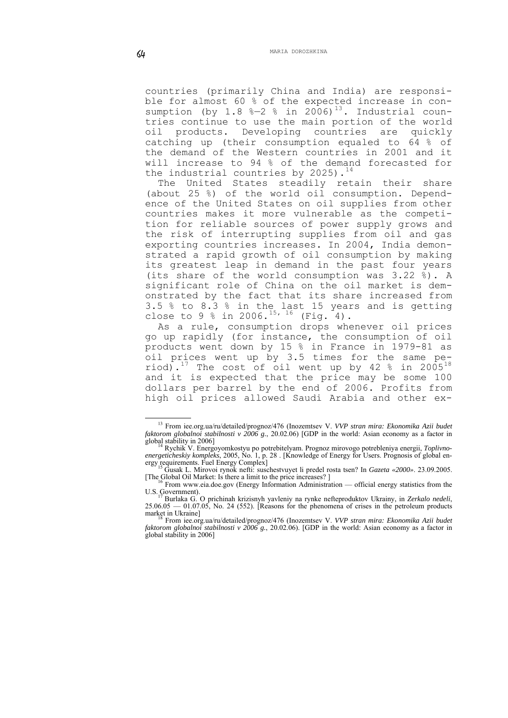countries (primarily China and India) are responsible for almost 60 % of the expected increase in consumption (by 1.8  $\textdegree{-2}$   $\textdegree$  in 2006)<sup>[13](#page-10-0)</sup>. Industrial countries continue to use the main portion of the world oil products. Developing countries are quickly catching up (their consumption equaled to 64 % of the demand of the Western countries in 2001 and it will increase to 94 % of the demand forecasted for the industrial countries by 2025).<sup>[14](#page-10-1)</sup>

The United States steadily retain their share (about 25 %) of the world oil consumption. Dependence of the United States on oil supplies from other countries makes it more vulnerable as the competition for reliable sources of power supply grows and the risk of interrupting supplies from oil and gas exporting countries increases. In 2004, India demonstrated a rapid growth of oil consumption by making its greatest leap in demand in the past four years (its share of the world consumption was 3.22 %). A significant role of China on the oil market is demonstrated by the fact that its share increased from 3.5 % to 8.3 % in the last 15 years and is getting close to 9 % in 2006.<sup>[15](#page-10-2), [16](#page-10-3)</sup> (Fig. 4).

As a rule, consumption drops whenever oil prices go up rapidly (for instance, the consumption of oil products went down by 15 % in France in 1979-81 as oil prices went up by 3.5 times for the same pe-riod).<sup>[17](#page-10-4)</sup> The cost of oil went up by 42 % in 2005<sup>[18](#page-10-5)</sup> and it is expected that the price may be some 100 dollars per barrel by the end of 2006. Profits from high oil prices allowed Saudi Arabia and other ex-

<sup>&</sup>lt;u>.</u> 13 From [iee.org.ua/ru/detailed/prognoz/476](http://iee.org.ua/ru/detailed/prognoz/476) (Inozemtsev V. *VVP stran mira: Ekonomika Azii budet faktorom globalnoi stabilnosti v 2006 g.*, 20.02.06) [GDP in the world: Asian economy as a factor in global stability in 2006]

<span id="page-10-1"></span><span id="page-10-0"></span>Rychik V. Energoyomkostyu po potrebitelyam. Prognoz mirovogo potrebleniya energii, *Toplivnoenergeticheskiy kompleks*, 2005, No. 1, p. 28 . [Knowledge of Energy for Users. Prognosis of global energy requirements. Fuel Energy Complex] ergy requirements. Fuel Energy Complex] 15 Gusak L. Mirovoi rynok nefti: suschestvuyet li predel rosta tsen? In *Gazeta «2000»*. 23.09.2005.

<sup>[</sup>The Global Oil Market: Is there a limit to the price increases?]<br><sup>16</sup> From www.eia.doe.gov (Energy Information Administration — official energy statistics from the

<span id="page-10-4"></span><span id="page-10-3"></span><span id="page-10-2"></span>

U.S. Government). 17 Burlaka G. O prichinah krizisnyh yavleniy na rynke nefteproduktov Ukrainy, in *Zerkalo nedeli*,  $25.06.05 - 01.07.05$ , No. 24 (552). [Reasons for the phenomena of crises in the petroleum products market in Ukraine]<br><sup>18</sup> From [iee.org.ua/ru/detailed/prognoz/476](http://iee.org.ua/ru/detailed/prognoz/476) (Inozemtsev V. *VVP stran mira: Ekonomika Azii budet* 

<span id="page-10-5"></span>*faktorom globalnoi stabilnosti v 2006 g.*, 20.02.06). [GDP in the world: Asian economy as a factor in global stability in 2006]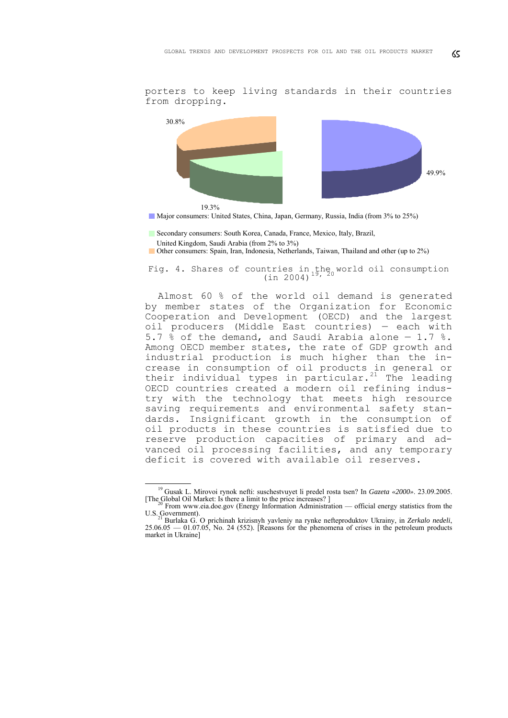porters to keep living standards in their countries from dropping.



Major consumers: United States, China, Japan, Germany, Russia, India (from 3% to 25%)

- Secondary consumers: South Korea, Canada, France, Mexico, Italy, Brazil,
- United Kingdom, Saudi Arabia (from 2% to 3%)
- Other consumers: Spain, Iran, Indonesia, Netherlands, Taiwan, Thailand and other (up to 2%)

Fig. 4. Shares of countries in the world oil consumption<br>(in 2004)<sup>[19](#page-11-0), [20](#page-11-1)</sup>

Almost 60 % of the world oil demand is generated by member states of the Organization for Economic Cooperation and Development (OECD) and the largest oil producers (Middle East countries) — each with 5.7 % of the demand, and Saudi Arabia alone — 1.7 %. Among OECD member states, the rate of GDP growth and industrial production is much higher than the increase in consumption of oil products in general or their individual types in particular. $21$  The leading OECD countries created a modern oil refining industry with the technology that meets high resource saving requirements and environmental safety standards. Insignificant growth in the consumption of oil products in these countries is satisfied due to reserve production capacities of primary and advanced oil processing facilities, and any temporary deficit is covered with available oil reserves.

 <sup>19</sup> Gusak L. Mirovoi rynok nefti: suschestvuyet li predel rosta tsen? In *Gazeta «2000»*. 23.09.2005.

<span id="page-11-1"></span><span id="page-11-0"></span><sup>[</sup>The Global Oil Market: Is there a limit to the price increases?]<br><sup>20</sup> From www.eia.doe.gov (Energy Information Administration — official energy statistics from the<br>U.S. Government).<br>20 From the contribution of the probab

<span id="page-11-2"></span>Burlaka G. O prichinah krizisnyh yavleniy na rynke nefteproduktov Ukrainy, in *Zerkalo nedeli*, 25.06.05 — 01.07.05, No. 24 (552). [Reasons for the phenomena of crises in the petroleum products market in Ukraine]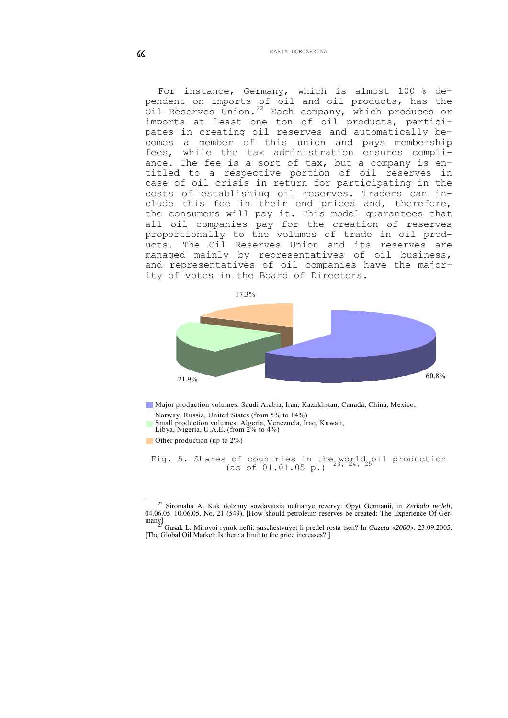For instance, Germany, which is almost 100 % dependent on imports of oil and oil products, has the Oil Reserves Union.<sup>[22](#page-12-0)</sup> Each company, which produces or imports at least one ton of oil products, participates in creating oil reserves and automatically becomes a member of this union and pays membership fees, while the tax administration ensures compliance. The fee is a sort of tax, but a company is entitled to a respective portion of oil reserves in case of oil crisis in return for participating in the costs of establishing oil reserves. Traders can include this fee in their end prices and, therefore, the consumers will pay it. This model guarantees that all oil companies pay for the creation of reserves proportionally to the volumes of trade in oil products. The Oil Reserves Union and its reserves are managed mainly by representatives of oil business, and representatives of oil companies have the majority of votes in the Board of Directors.



Major production volumes: Saudi Arabia, Iran, Kazakhstan, Canada, China, Mexico,

Norway, Russia, United States (from 5% to 14%)

Small production volumes: Algeria, Venezuela, Iraq, Kuwait,

Libya, Nigeria, U.A.E. (from 2% to 4%)

<span id="page-12-3"></span><span id="page-12-2"></span>Other production (up to  $2\%$ )

Fig. 5. Shares of countries in the world oil production<br>(as of 01.01.05 p.)  $2^{3}$ ,  $2^{4}$ ,  $2^{5}$ 

 <sup>22</sup> Siromaha A. Kak dolzhny sozdavatsia neftianye rezervy: Opyt Germanii, in *Zerkalo nedeli,* 04.06.05–10.06.05, No. 21 (549). [How should petroleum reserves be created: The Experience Of Ger-

<span id="page-12-1"></span><span id="page-12-0"></span>many] 23 Gusak L. Mirovoi rynok nefti: suschestvuyet li predel rosta tsen? In *Gazeta «2000»*. 23.09.2005. [The Global Oil Market: Is there a limit to the price increases? ]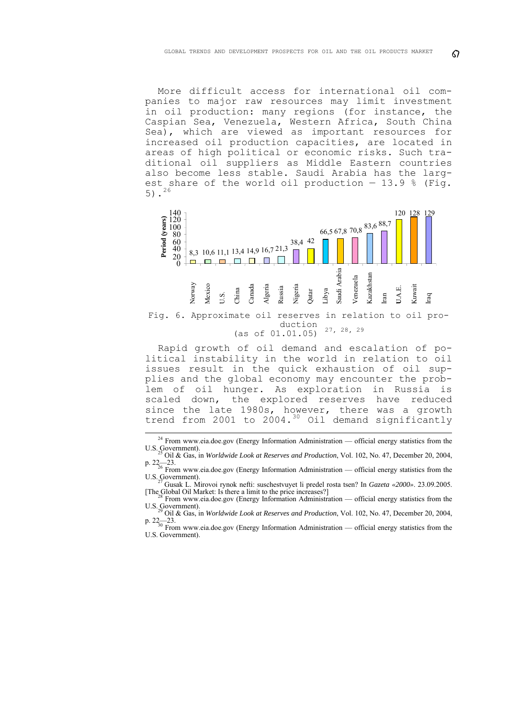More difficult access for international oil companies to major raw resources may limit investment in oil production: many regions (for instance, the Caspian Sea, Venezuela, Western Africa, South China Sea), which are viewed as important resources for increased oil production capacities, are located in areas of high political or economic risks. Such traditional oil suppliers as Middle Eastern countries also become less stable. Saudi Arabia has the largest share of the world oil production  $-13.9$  % (Fig. 5). $^{26}$  $^{26}$  $^{26}$ 



Fig. 6. Approximate oil reserves in relation to oil production (as of  $01.01.05$ )  $27, 28, 29$  $27, 28, 29$  $27, 28, 29$  $27, 28, 29$  $27, 28, 29$ 

Rapid growth of oil demand and escalation of political instability in the world in relation to oil issues result in the quick exhaustion of oil supplies and the global economy may encounter the problem of oil hunger. As exploration in Russia is scaled down, the explored reserves have reduced since the late 1980s, however, there was a growth trend from 2001 to 2004.<sup>[30](#page-13-4)</sup> Oil demand significantly

<sup>&</sup>lt;sup>24</sup> From www.eia.doe.gov (Energy Information Administration — official energy statistics from the U.S. Government). 25 Oil & Gas, in *Worldwide Look at Reserves and Production*, Vol. 102, No. 47, December 20, 2004,

<span id="page-13-0"></span>p.  $22\frac{2}{26}$  From www.eia.doe.gov (Energy Information Administration — official energy statistics from the U.S. Government). 27 Gusak L. Mirovoi rynok nefti: suschestvuyet li predel rosta tsen? In *Gazeta «2000»*. 23.09.2005.

<span id="page-13-1"></span><sup>[</sup>The Global Oil Market: Is there a limit to the price increases?]<br><sup>28</sup> From www.eia.doe.gov (Energy Information Administration — official energy statistics from the<br>U.S. Government).

U.S. Government). 29 Oil & Gas, in *Worldwide Look at Reserves and Production*, Vol. 102, No. 47, December 20, 2004,

<span id="page-13-4"></span><span id="page-13-3"></span><span id="page-13-2"></span>p. 22—23.<br><sup>30</sup> From www.eia.doe.gov (Energy Information Administration — official energy statistics from the U.S. Government).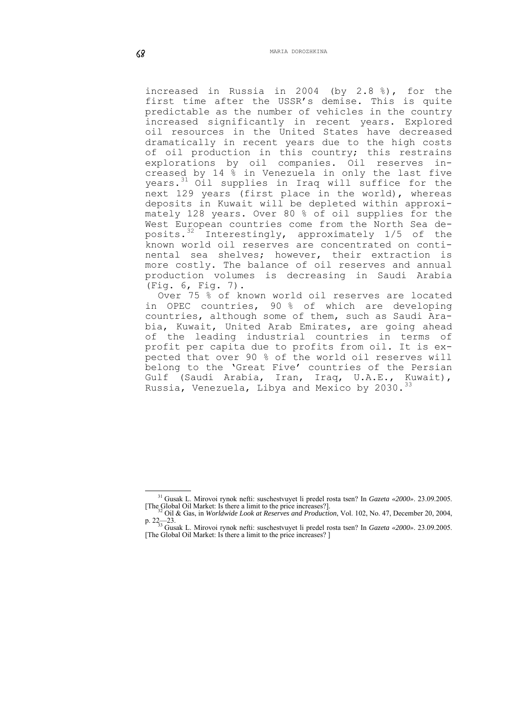increased in Russia in 2004 (by 2.8 %), for the first time after the USSR's demise. This is quite predictable as the number of vehicles in the country increased significantly in recent years. Explored oil resources in the United States have decreased dramatically in recent years due to the high costs of oil production in this country; this restrains explorations by oil companies. Oil reserves increased by 14 % in Venezuela in only the last five years.<sup>[31](#page-14-0)</sup> Oil supplies in Iraq will suffice for the next 129 years (first place in the world), whereas deposits in Kuwait will be depleted within approximately 128 years. Over 80 % of oil supplies for the West European countries come from the North Sea deposits.[32](#page-14-1) Interestingly, approximately 1/5 of the known world oil reserves are concentrated on continental sea shelves; however, their extraction is more costly. The balance of oil reserves and annual production volumes is decreasing in Saudi Arabia (Fig. 6, Fig. 7).

Over 75 % of known world oil reserves are located in OPEC countries, 90 % of which are developing countries, although some of them, such as Saudi Arabia, Kuwait, United Arab Emirates, are going ahead of the leading industrial countries in terms of profit per capita due to profits from oil. It is expected that over 90 % of the world oil reserves will belong to the 'Great Five' countries of the Persian Gulf (Saudi Arabia, Iran, Iraq, U.A.E., Kuwait), Russia, Venezuela, Libya and Mexico by 2030.<sup>[33](#page-14-2)</sup>

<sup>1</sup> <sup>31</sup> Gusak L. Mirovoi rynok nefti: suschestvuyet li predel rosta tsen? In *Gazeta «2000»*. 23.09.2005. [The Global Oil Market: Is there a limit to the price increases?].

<span id="page-14-2"></span><span id="page-14-1"></span><span id="page-14-0"></span><sup>[</sup>The Global Oil Market: Is there a limit to the price increases?]. 32 Oil & Gas, in *Worldwide Look at Reserves and Production*, Vol. 102, No. 47, December 20, 2004,

p. 22—23. 33 Gusak L. Mirovoi rynok nefti: suschestvuyet li predel rosta tsen? In *Gazeta «2000»*. 23.09.2005. [The Global Oil Market: Is there a limit to the price increases? ]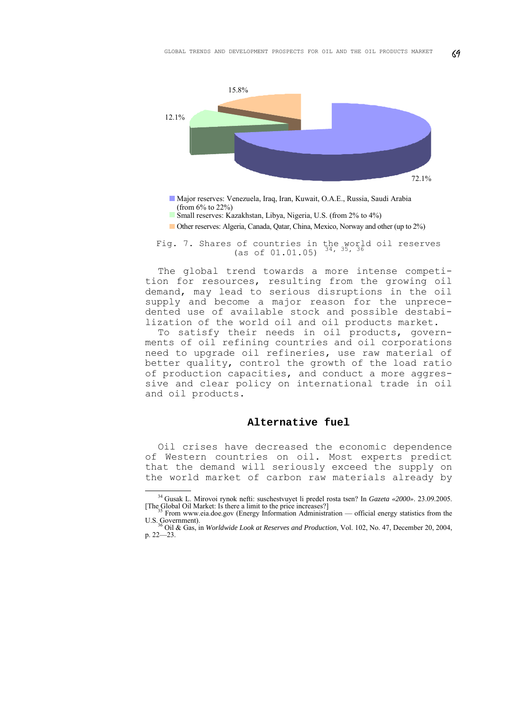

- Major reserves: Venezuela, Iraq, Iran, Kuwait, O.A.E., Russia, Saudi Arabia (from 6% to 22%)
- Small reserves: Kazakhstan, Libya, Nigeria, U.S. (from 2% to 4%)
- Other reserves: Algeria, Canada, Qatar, China, Mexico, Norway and other (up to 2%)
- Fig. 7. Shares of countries in the world oil reserves<br>(as of  $01.01.05$ )  $^{34}$  $^{34}$  $^{34}$ ,  $^{35}$  $^{35}$  $^{35}$ ,  $^{36}$  $^{36}$  $^{36}$

The global trend towards a more intense competition for resources, resulting from the growing oil demand, may lead to serious disruptions in the oil supply and become a major reason for the unprecedented use of available stock and possible destabilization of the world oil and oil products market.

To satisfy their needs in oil products, governments of oil refining countries and oil corporations need to upgrade oil refineries, use raw material of better quality, control the growth of the load ratio of production capacities, and conduct a more aggressive and clear policy on international trade in oil and oil products.

#### **Alternative fuel**

Oil crises have decreased the economic dependence of Western countries on oil. Most experts predict that the demand will seriously exceed the supply on the world market of carbon raw materials already by

<sup>&</sup>lt;sup>34</sup> Gusak L. Mirovoi rynok nefti: suschestvuyet li predel rosta tsen? In *Gazeta «2000»*. 23.09.2005. [The Global Oil Market: Is there a limit to the price increases?]

<span id="page-15-1"></span><span id="page-15-0"></span>From www.eia.doe.gov (Energy Information Administration — official energy statistics from the U.S. Government). 36 Oil & Gas, in *Worldwide Look at Reserves and Production*, Vol. 102, No. 47, December 20, 2004,

<span id="page-15-2"></span>p. 22—23.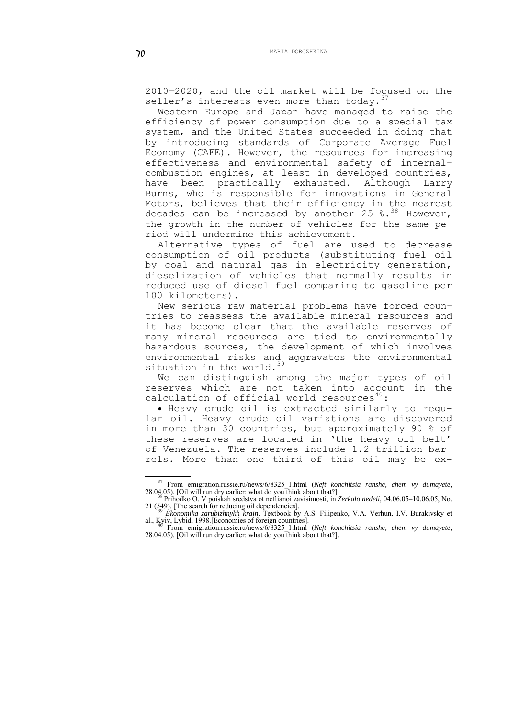2010—2020, and the oil market will be focused on the seller's interests even more than today.

Western Europe and Japan have managed to raise the efficiency of power consumption due to a special tax system, and the United States succeeded in doing that by introducing standards of Corporate Average Fuel Economy (CAFE). However, the resources for increasing effectiveness and environmental safety of internalcombustion engines, at least in developed countries, have been practically exhausted. Although Larry Burns, who is responsible for innovations in General Motors, believes that their efficiency in the nearest decades can be increased by another  $25$  %.<sup>[38](#page-16-1)</sup> However, the growth in the number of vehicles for the same period will undermine this achievement.

Alternative types of fuel are used to decrease consumption of oil products (substituting fuel oil by coal and natural gas in electricity generation, dieselization of vehicles that normally results in reduced use of diesel fuel comparing to gasoline per 100 kilometers).

New serious raw material problems have forced countries to reassess the available mineral resources and it has become clear that the available reserves of many mineral resources are tied to environmentally hazardous sources, the development of which involves environmental risks and aggravates the environmental situation in the world. $39$ 

We can distinguish among the major types of oil reserves which are not taken into account in the calculation of official world resources<sup>[40](#page-16-3)</sup>:

• Heavy crude oil is extracted similarly to regular oil. Heavy crude oil variations are discovered in more than 30 countries, but approximately 90 % of these reserves are located in 'the heavy oil belt' of Venezuela. The reserves include 1.2 trillion barrels. More than one third of this oil may be ex-

1

<span id="page-16-1"></span><span id="page-16-0"></span><sup>&</sup>lt;sup>37</sup> From [emigration.russie.ru/news/6/8325\\_1.html](http://emigration.russie.ru/news/6/8325_1.html) (*Neft konchitsia ranshe, chem vy dumayete*, 28.04.05). [Oil will run dry earlier: what do you think about that?]<br><sup>38</sup> Prihodko O. V poiskah sredstva ot neftianoi zavisimo

<sup>21 (549). [</sup>The search for reducing oil dependencies]. 39 *Ekonomika zarubizhnykh krain*. Textbook by A.S. Filipenko, V.A. Verhun, I.V. Burakivsky et

<span id="page-16-3"></span><span id="page-16-2"></span>al., Kyiv, Lybi[d, 1998.\[Economies of foreign countries\]](http://emigration.russie.ru/news/6/8325_1.html).<br><sup>40</sup> From [emigration.russie.ru/news/6/8325\\_1.html](http://emigration.russie.ru/news/6/8325_1.html) (*Neft konchitsia ranshe, chem vy dumayete*, 28.04.05). [Oil will run dry earlier: what do you think about that?].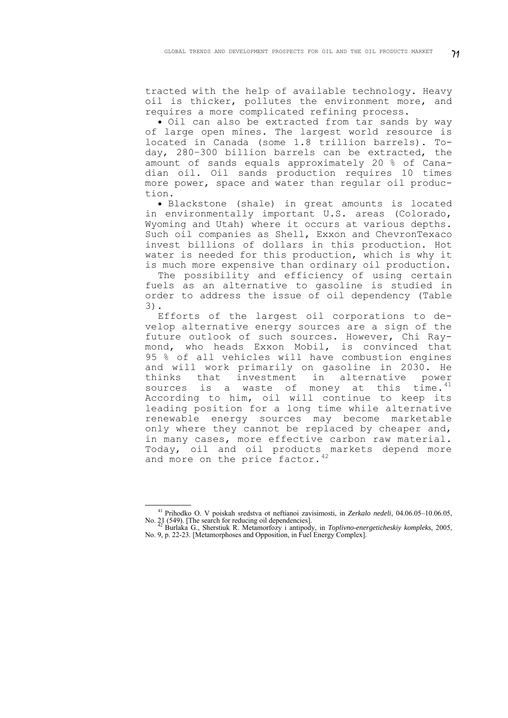tracted with the help of available technology. Heavy oil is thicker, pollutes the environment more, and requires a more complicated refining process.

• Oil can also be extracted from tar sands by way of large open mines. The largest world resource is located in Canada (some 1.8 trillion barrels). Today, 280–300 billion barrels can be extracted, the amount of sands equals approximately 20 % of Canadian oil. Oil sands production requires 10 times more power, space and water than regular oil production.

• Blackstone (shale) in great amounts is located in environmentally important U.S. areas (Colorado, Wyoming and Utah) where it occurs at various depths. Such oil companies as Shell, Exxon and ChevronTexaco invest billions of dollars in this production. Hot water is needed for this production, which is why it is much more expensive than ordinary oil production.

The possibility and efficiency of using certain fuels as an alternative to gasoline is studied in order to address the issue of oil dependency (Table 3).

Efforts of the largest oil corporations to develop alternative energy sources are a sign of the future outlook of such sources. However, Chi Raymond, who heads Exxon Mobil, is convinced that 95 % of all vehicles will have combustion engines and will work primarily on gasoline in 2030. He thinks that investment in alternative power sources is a waste of money at this  $\tan^4$ According to him, oil will continue to keep its leading position for a long time while alternative renewable energy sources may become marketable only where they cannot be replaced by cheaper and, in many cases, more effective carbon raw material. Today, oil and oil products markets depend more and more on the price factor.<sup>[42](#page-17-1)</sup>

<u>.</u>

<sup>41</sup> Prihodko O. V poiskah sredstva ot neftianoi zavisimosti, in *Zerkalo nedeli*, 04.06.05–10.06.05, No. 21 (549). [The search for reducing oil dependencies]. 42 Burlaka G., Sherstiuk R. Metamorfozy i antipody, in *Toplivno-energeticheskiy kompleks*, 2005,

<span id="page-17-1"></span><span id="page-17-0"></span>No. 9, p. 22-23. [Metamorphoses and Opposition, in Fuel Energy Complex].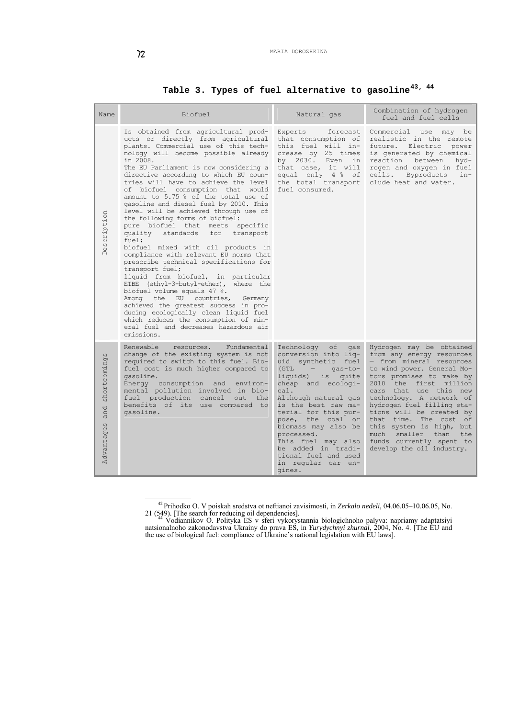# **Table 3. Types of fuel alternative to gasoline[43](#page-18-0), [44](#page-18-1)**

| Name                              | Biofuel                                                                                                                                                                                                                                                                                                                                                                                                                                                                                                                                                                                                                                                                                                                                                                                                                                                                                                                                                                                                                                                                        | Natural gas                                                                                                                                                                                                                                                                                                                                                                                          | Combination of hydrogen<br>fuel and fuel cells                                                                                                                                                                                                                                                                                                                                                                                         |  |
|-----------------------------------|--------------------------------------------------------------------------------------------------------------------------------------------------------------------------------------------------------------------------------------------------------------------------------------------------------------------------------------------------------------------------------------------------------------------------------------------------------------------------------------------------------------------------------------------------------------------------------------------------------------------------------------------------------------------------------------------------------------------------------------------------------------------------------------------------------------------------------------------------------------------------------------------------------------------------------------------------------------------------------------------------------------------------------------------------------------------------------|------------------------------------------------------------------------------------------------------------------------------------------------------------------------------------------------------------------------------------------------------------------------------------------------------------------------------------------------------------------------------------------------------|----------------------------------------------------------------------------------------------------------------------------------------------------------------------------------------------------------------------------------------------------------------------------------------------------------------------------------------------------------------------------------------------------------------------------------------|--|
| Description                       | Is obtained from agricultural prod-<br>ucts or directly from agricultural<br>plants. Commercial use of this tech-<br>nology will become possible already<br>in 2008.<br>The EU Parliament is now considering a<br>directive according to which EU coun-<br>tries will have to achieve the level<br>of biofuel consumption that would<br>amount to 5.75 % of the total use of<br>gasoline and diesel fuel by 2010. This<br>level will be achieved through use of<br>the following forms of biofuel:<br>pure biofuel that meets specific<br>quality<br>standards<br>for<br>transport<br>fuel;<br>biofuel mixed with oil products in<br>compliance with relevant EU norms that<br>prescribe technical specifications for<br>transport fuel;<br>liquid from biofuel, in particular<br>ETBE (ethyl-3-butyl-ether), where the<br>biofuel volume equals 47 %.<br>Among the EU countries,<br>Germany<br>achieved the greatest success in pro-<br>ducing ecologically clean liquid fuel<br>which reduces the consumption of min-<br>eral fuel and decreases hazardous air<br>emissions. | Experts<br>forecast<br>that consumption of<br>this fuel will in-<br>crease by 25 times<br>by 2030. Even<br>in<br>that case, it will<br>equal only 4 % of<br>the total transport<br>fuel consumed.                                                                                                                                                                                                    | Commercial use may be<br>realistic in the remote<br>future. Electric<br>power<br>is generated by chemical<br>reaction<br>between<br>hyd-<br>rogen and oxygen in fuel<br>Byproducts<br>cells.<br>$in-$<br>clude heat and water.                                                                                                                                                                                                         |  |
| shortcomings<br>and<br>Advantages | Renewable<br>resources.<br>Fundamental<br>change of the existing system is not<br>required to switch to this fuel. Bio-<br>fuel cost is much higher compared to<br>gasoline.<br>Energy consumption and<br>environ-<br>mental pollution involved in bio-<br>fuel production cancel<br>out<br>the<br>benefits of its use compared to<br>gasoline.                                                                                                                                                                                                                                                                                                                                                                                                                                                                                                                                                                                                                                                                                                                                | Technology<br>оf<br>qas<br>conversion into lig-<br>uid synthetic fuel<br>(GTL<br>$\sim$ $-$<br>qas-to-<br>liquids)<br>is<br>quite<br>cheap and ecologi-<br>cal.<br>Although natural gas<br>is the best raw ma-<br>terial for this pur-<br>pose, the coal or<br>biomass may also be<br>processed.<br>This fuel may also<br>be added in tradi-<br>tional fuel and used<br>in regular car en-<br>gines. | Hydrogen may be obtained<br>from any energy resources<br>- from mineral resources<br>to wind power. General Mo-<br>tors promises to make by<br>2010<br>the first million<br>cars that use this new<br>technology. A network of<br>hydrogen fuel filling sta-<br>tions will be created by<br>that time. The cost of<br>this system is high, but<br>smaller than<br>much<br>the<br>funds currently spent to<br>develop the oil industry. |  |

 <sup>42</sup> Prihodko O. V poiskah sredstva ot neftianoi zavisimosti, in *Zerkalo nedeli*, 04.06.05–10.06.05, No.

<span id="page-18-1"></span><span id="page-18-0"></span><sup>21 (549). [</sup>The search for reducing oil dependencies]. 44 [Vodiannikov](http://justinian.com.ua/author.php?id=383) <sup>О</sup>. Polityka ES v sferi vykorystannia biologichnoho palyva: napriamy adaptatsiyi natsionalnoho zakonodavstva Ukrainy do prava ES, in *Yurydychnyi zhurnal*, 2004, No. 4. [The EU and the use of biological fuel: compliance of Ukraine's national legislation with EU laws].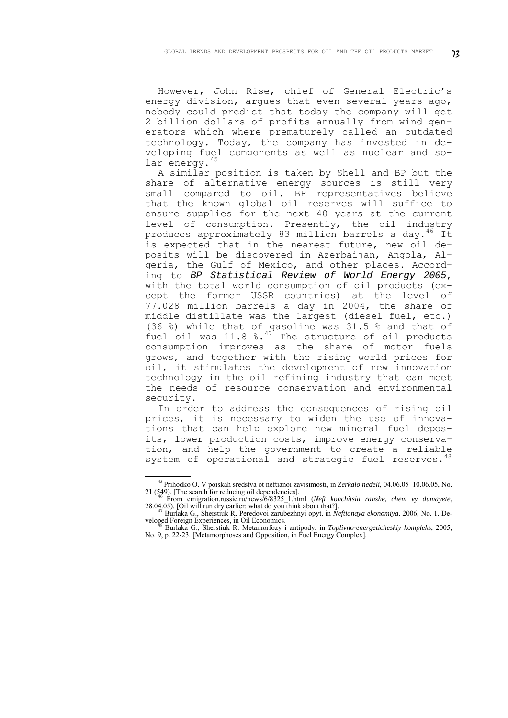However, John Rise, chief of General Electric's energy division, argues that even several years ago, nobody could predict that today the company will get 2 billion dollars of profits annually from wind generators which where prematurely called an outdated technology. Today, the company has invested in developing fuel components as well as nuclear and so-lar energy.<sup>[45](#page-19-0)</sup>

A similar position is taken by Shell and BP but the share of alternative energy sources is still very small compared to oil. ВР representatives believe that the known global oil reserves will suffice to ensure supplies for the next 40 years at the current level of consumption. Presently, the oil industry produces approximately 83 million barrels a day.<sup>[46](#page-19-1)</sup> It is expected that in the nearest future, new oil deposits will be discovered in Azerbaijan, Angola, Algeria, the Gulf of Mexico, and other places. According to *BP Statistical Review of World Energy 2005*, with the total world consumption of oil products (except the former USSR countries) at the level of 77.028 million barrels a day in 2004, the share of middle distillate was the largest (diesel fuel, etc.) (36 %) while that of gasoline was 31.5 % and that of fuel oil was  $11.8$  %.<sup>[47](#page-19-2)</sup> The structure of oil products consumption improves as the share of motor fuels grows, and together with the rising world prices for oil, it stimulates the development of new innovation technology in the oil refining industry that can meet the needs of resource conservation and environmental security.

In order to address the consequences of rising oil prices, it is necessary to widen the use of innovations that can help explore new mineral fuel deposits, lower production costs, improve energy conservation, and help the government to create a reliable system of operational and strategic fuel reserves.<sup>[48](#page-19-3)</sup>

<sup>1</sup> 45 Prihodko O. V poiskah sredstva ot neftianoi zavisimosti, in *Zerkalo nedeli*, 04.06.05–10.06.05, No.

<span id="page-19-0"></span><sup>21 (549). [</sup>The search for reducing oil dependencies].<br><sup>46</sup> From [emigration.russie.ru/news/6/8325\\_1.html](http://emigration.russie.ru/news/6/8325_1.html) (*Neft konchitsia ranshe, chem vy dumayete*, 28.04.05). [Oil will run dry earlier: what do you think about that?].<br><sup>4</sup>

<span id="page-19-3"></span><span id="page-19-2"></span><span id="page-19-1"></span>veloped Foreign Experiences, in Oil Economics. 48 Burlaka G., Sherstiuk R. Metamorfozy i antipody, in *Toplivno-energeticheskiy kompleks*, 2005,

No. 9, p. 22-23. [Metamorphoses and Opposition, in Fuel Energy Complex].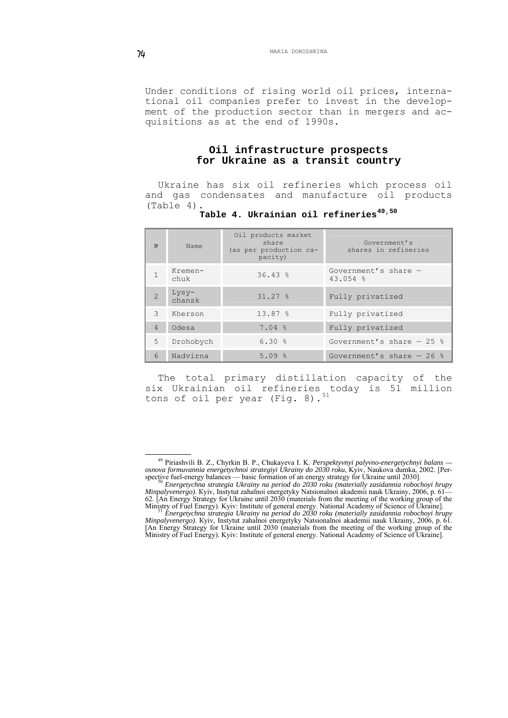Under conditions of rising world oil prices, international oil companies prefer to invest in the development of the production sector than in mergers and acquisitions as at the end of 1990s.

#### **Oil infrastructure prospects for Ukraine as a transit country**

Ukraine has six oil refineries which process oil and gas condensates and manufacture oil products (Table 4).

| . |  |  | Table 4. Ukrainian oil refineries <sup>49,50</sup> |  |
|---|--|--|----------------------------------------------------|--|
|   |  |  |                                                    |  |

| N <sub>o</sub> | Name              | Oil products market<br>share<br>(as per production ca-<br>pacity) | Government's<br>shares in refineries |
|----------------|-------------------|-------------------------------------------------------------------|--------------------------------------|
|                | Kremen-<br>chuk   | $36.43$ %                                                         | Government's share $-$<br>43.054 %   |
| $\mathfrak{D}$ | $Lysy-$<br>chansk | $31.27$ %                                                         | Fully privatized                     |
| 3              | Kherson           | 13.87%                                                            | Fully privatized                     |
| $\overline{4}$ | Odesa             | 7.04%                                                             | Fully privatized                     |
| 5              | Drohobych         | 6.30%                                                             | Government's share $-25$ %           |
| 6              | Nadvirna          | 5.09%                                                             | Government's share $-26$ %           |

The total primary distillation capacity of the six Ukrainian oil refineries today is 51 million tons of oil per year (Fig. 8). $^{51}$  $^{51}$  $^{51}$ 

<span id="page-20-0"></span> <sup>49</sup> Piriashvili B. Z., Chyrkin B. P., Chukayeva I. K. *Perspektyvnyi palyvno-energetychnyi balans osnova formuvannia energetychnoi strategiyi Ukrainy do 2030 roku*, Kyiv, Naukova dumka, 2002. [Perspective fuel-energy balances — basic formation of an energy strategy for Ukraine until 2030]. 50 *Energetychna strategia Ukrainy na period do 2030 roku (materially zasidannia robochoyi hrupy* 

<span id="page-20-1"></span>*Minpalyvenergo)*. Кyiv, Instytut zahalnoi energetyky Natsionalnoi akademii nauk Ukrainy, 2006, p. 61— 62. [An Energy Strategy for Ukraine until 2030 (materials from the meeting of the working group of the

<span id="page-20-2"></span>Ministry of Fuel Energy). Kyiv: Institute of general energy. National Academy of Science of Ukraine]. 51 *Energetychna strategia Ukrainy na period do 2030 roku (materially zasidannia robochoyi hrupy Minpalyvenergo)*. Кyiv, Instytut zahalnoi energetyky Natsionalnoi akademii nauk Ukrainy, 2006, p. 61. [An Energy Strategy for Ukraine until 2030 (materials from the meeting of the working group of the Ministry of Fuel Energy). Kyiv: Institute of general energy. National Academy of Science of Ukraine].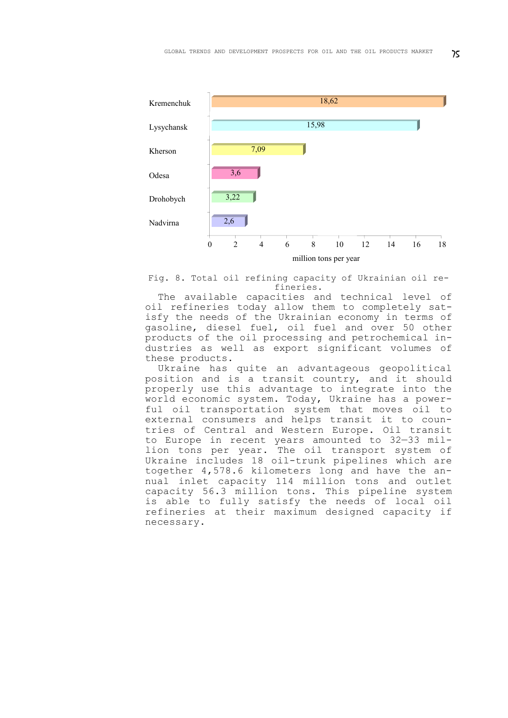

Fig. 8. Total oil refining capacity of Ukrainian oil refineries.

The available capacities and technical level of oil refineries today allow them to completely satisfy the needs of the Ukrainian economy in terms of gasoline, diesel fuel, oil fuel and over 50 other products of the oil processing and petrochemical industries as well as export significant volumes of these products.

Ukraine has quite an advantageous geopolitical position and is a transit country, and it should properly use this advantage to integrate into the world economic system. Today, Ukraine has a powerful oil transportation system that moves oil to external consumers and helps transit it to countries of Central and Western Europe. Oil transit to Europe in recent years amounted to 32—33 million tons per year. The oil transport system of Ukraine includes 18 oil-trunk pipelines which are together 4,578.6 kilometers long and have the annual inlet capacity 114 million tons and outlet capacity 56.3 million tons. This pipeline system is able to fully satisfy the needs of local oil refineries at their maximum designed capacity if necessary.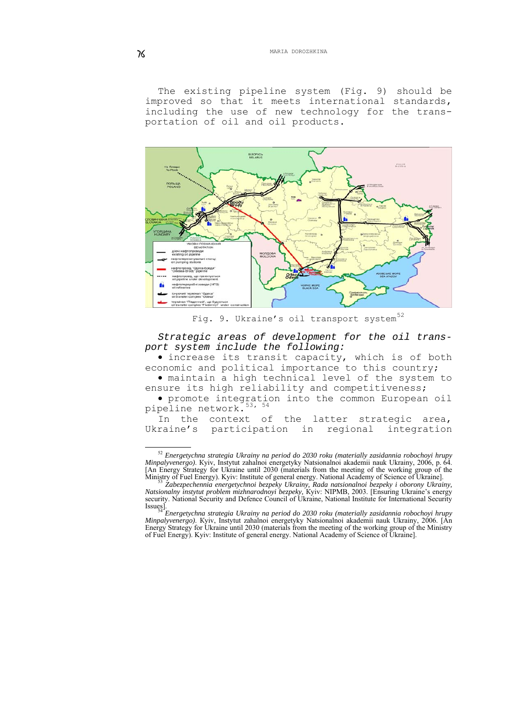The existing pipeline system (Fig. 9) should be improved so that it meets international standards, including the use of new technology for the transportation of oil and oil products.



Fig. 9. Ukraine's oil transport system<sup>[52](#page-22-0)</sup>

*Strategic areas of development for the oil transport system include the following:* 

• increase its transit capacity, which is of both economic and political importance to this country;

• maintain a high technical level of the system to ensure its high reliability and competitiveness;

• promote integration into the common European oil pipeline network.<sup>[53](#page-22-1), [54](#page-22-2)</sup>

In the context of the latter strategic area, Ukraine's participation in regional integration

<span id="page-22-0"></span> <sup>52</sup> *Energetychna strategia Ukrainy na period do 2030 roku (materially zasidannia robochoyi hrupy Minpalyvenergo)*. Кyiv, Instytut zahalnoi energetyky Natsionalnoi akademii nauk Ukrainy, 2006, p. 64. [An Energy Strategy for Ukraine until 2030 (materials from the meeting of the working group of the Ministry of Fuel Energy). Kyiv: Institute of general energy. National Academy of Science of Ukraine]. 53 *Zabezpechennia energetychnoi bezpeky Ukrainy, Rada natsionalnoi bezpeky i oborony Ukrainy,* 

<span id="page-22-1"></span>*Natsionalny instytut problem mizhnarodnoyi bezpeky,* Кyiv: NIPMB, 2003. [Ensuring Ukraine's energy security. National Security and Defence Council of Ukraine, National Institute for International Security Issues]. 54 *Energetychna strategia Ukrainy na period do 2030 roku (materially zasidannia robochoyi hrupy* 

<span id="page-22-2"></span>*Minpalyvenergo)*. Кyiv, Instytut zahalnoi energetyky Natsionalnoi akademii nauk Ukrainy, 2006. [An Energy Strategy for Ukraine until 2030 (materials from the meeting of the working group of the Ministry of Fuel Energy). Kyiv: Institute of general energy. National Academy of Science of Ukraine].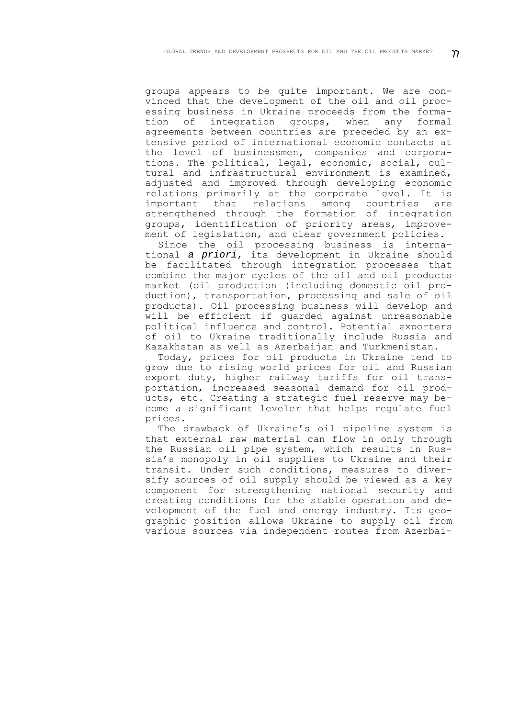groups appears to be quite important. We are convinced that the development of the oil and oil processing business in Ukraine proceeds from the formation of integration groups, when any formal agreements between countries are preceded by an extensive period of international economic contacts at the level of businessmen, companies and corporations. The political, legal, economic, social, cultural and infrastructural environment is examined, adjusted and improved through developing economic relations primarily at the corporate level. It is important that relations among countries are strengthened through the formation of integration groups, identification of priority areas, improvement of legislation, and clear government policies.

Since the oil processing business is international *a priori*, its development in Ukraine should be facilitated through integration processes that combine the major cycles of the oil and oil products market (oil production (including domestic oil production), transportation, processing and sale of oil products). Oil processing business will develop and will be efficient if guarded against unreasonable political influence and control. Potential exporters of oil to Ukraine traditionally include Russia and Kazakhstan as well as Azerbaijan and Turkmenistan.

Today, prices for oil products in Ukraine tend to grow due to rising world prices for oil and Russian export duty, higher railway tariffs for oil transportation, increased seasonal demand for oil products, etc. Creating a strategic fuel reserve may become a significant leveler that helps regulate fuel prices.

The drawback of Ukraine's oil pipeline system is that external raw material can flow in only through the Russian oil pipe system, which results in Russia's monopoly in oil supplies to Ukraine and their transit. Under such conditions, measures to diversify sources of oil supply should be viewed as a key component for strengthening national security and creating conditions for the stable operation and development of the fuel and energy industry. Its geographic position allows Ukraine to supply oil from various sources via independent routes from Azerbai-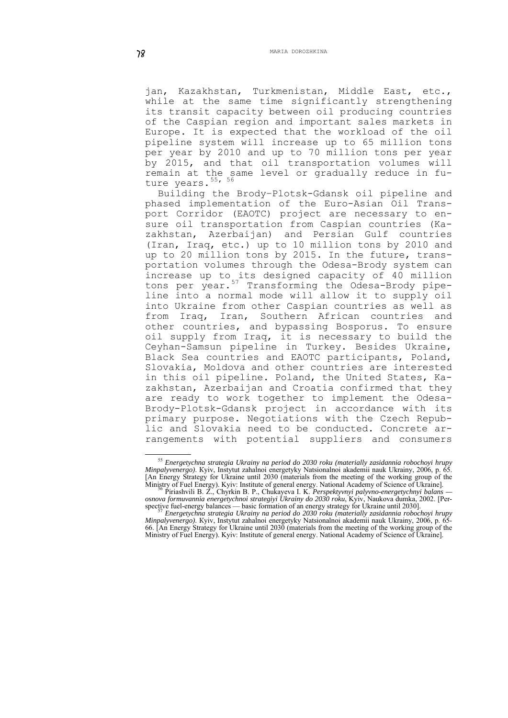jan, Kazakhstan, Turkmenistan, Middle East, etc., while at the same time significantly strengthening its transit capacity between oil producing countries of the Caspian region and important sales markets in Europe. It is expected that the workload of the oil pipeline system will increase up to 65 million tons per year by 2010 and up to 70 million tons per year by 2015, and that oil transportation volumes will remain at the same level or gradually reduce in fu-ture years.<sup>[55](#page-24-0), [56](#page-24-1)</sup>

Building the Brody–Plotsk-Gdansk oil pipeline and phased implementation of the Euro-Asian Oil Transport Corridor (EAOTC) project are necessary to ensure oil transportation from Caspian countries (Kazakhstan, Azerbaijan) and Persian Gulf countries (Iran, Iraq, etc.) up to 10 million tons by 2010 and up to 20 million tons by 2015. In the future, transportation volumes through the Odesa-Brody system can increase up to its designed capacity of 40 million tons per year.<sup>[57](#page-24-2)</sup> Transforming the Odesa-Brody pipeline into a normal mode will allow it to supply oil into Ukraine from other Caspian countries as well as from Iraq, Iran, Southern African countries and other countries, and bypassing Bosporus. To ensure oil supply from Iraq, it is necessary to build the Ceyhan-Samsun pipeline in Turkey. Besides Ukraine, Black Sea countries and EAOTC participants, Poland, Slovakia, Moldova and other countries are interested in this oil pipeline. Poland, the United States, Kazakhstan, Azerbaijan and Croatia confirmed that they are ready to work together to implement the Odesa-Brody-Plotsk-Gdansk project in accordance with its primary purpose. Negotiations with the Czech Republic and Slovakia need to be conducted. Concrete arrangements with potential suppliers and consumers

1

<span id="page-24-0"></span><sup>55</sup> *Energetychna strategia Ukrainy na period do 2030 roku (materially zasidannia robochoyi hrupy Minpalyvenergo)*. Кyiv, Instytut zahalnoi energetyky Natsionalnoi akademii nauk Ukrainy, 2006, p. 65. [An Energy Strategy for Ukraine until 2030 (materials from the meeting of the working group of the Ministry of Fuel Energy). Kyiv: Institute of general energy. National Academy of Science of Ukraine]. 56 Piriashvili B. Z., Chyrkin B. P., Chukayeva I. K. *Perspektyvnyi palyvno-energetychnyi balans —* 

<span id="page-24-2"></span><span id="page-24-1"></span>*osnova formuvannia energetychnoi strategiyi Ukrainy do 2030 roku*, Kyiv, Naukova dumka, 2002. [Per-

spective fuel-energy balances — basic formation of an energy strategy for Ukraine until 2030]. 57 *Energetychna strategia Ukrainy na period do 2030 roku (materially zasidannia robochoyi hrupy Minpalyvenergo)*. Кyiv, Instytut zahalnoi energetyky Natsionalnoi akademii nauk Ukrainy, 2006, p. 65- 66. [An Energy Strategy for Ukraine until 2030 (materials from the meeting of the working group of the Ministry of Fuel Energy). Kyiv: Institute of general energy. National Academy of Science of Ukraine].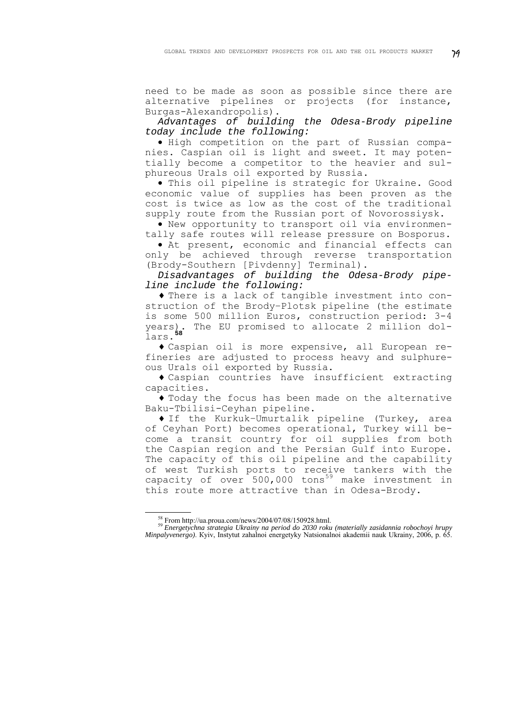need to be made as soon as possible since there are alternative pipelines or projects (for instance, Burgas-Alexandropolis).

*Advantages of building the Odesa-Brody pipeline today include the following:* 

• High competition on the part of Russian companies. Caspian oil is light and sweet. It may potentially become a competitor to the heavier and sulphureous Urals oil exported by Russia.

• This oil pipeline is strategic for Ukraine. Good economic value of supplies has been proven as the cost is twice as low as the cost of the traditional supply route from the Russian port of Novorossiysk.

• New opportunity to transport oil via environmentally safe routes will release pressure on Bosporus.

• At present, economic and financial effects can only be achieved through reverse transportation (Brody-Southern [Pivdenny] Terminal).

*Disadvantages of building the Odesa-Brody pipeline include the following:* 

♦ There is a lack of tangible investment into construction of the Brody–Plotsk pipeline (the estimate is some 500 million Euros, construction period: 3-4 The EU promised to allocate 2 million dollars.**[58](#page-25-0)**

♦ Caspian oil is more expensive, all European refineries are adjusted to process heavy and sulphureous Urals oil exported by Russia.

♦ Caspian countries have insufficient extracting capacities.

♦ Today the focus has been made on the alternative Baku-Tbilisi-Ceyhan pipeline.

♦ If the Kurkuk–Umurtalik pipeline (Turkey, area of Ceyhan Port) becomes operational, Turkey will become a transit country for oil supplies from both the Caspian region and the Persian Gulf into Europe. The capacity of this oil pipeline and the capability of west Turkish ports to receive tankers with the capacity of over  $500,000$  tons<sup>[59](#page-25-1)</sup> make investment in this route more attractive than in Odesa-Brody.

1

<span id="page-25-1"></span><span id="page-25-0"></span><sup>58</sup> From<http://ua.proua.com/news/2004/07/08/150928.html>. 59 *Energetychna strategia Ukrainy na period do 2030 roku (materially zasidannia robochoyi hrupy Minpalyvenergo)*. Кyiv, Instytut zahalnoi energetyky Natsionalnoi akademii nauk Ukrainy, 2006, p. 65.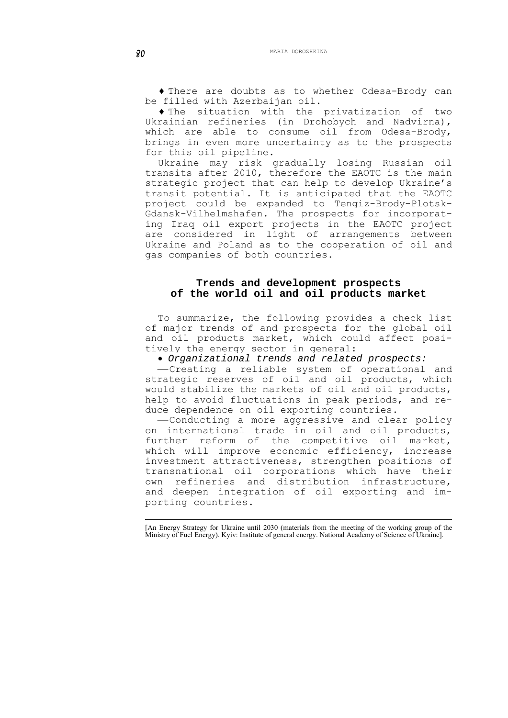♦ There are doubts as to whether Odesa-Brody can be filled with Azerbaijan oil.

♦ The situation with the privatization of two Ukrainian refineries (in Drohobych and Nadvirna), which are able to consume oil from Odesa-Brody, brings in even more uncertainty as to the prospects for this oil pipeline.

Ukraine may risk gradually losing Russian oil transits after 2010, therefore the EAOTC is the main strategic project that can help to develop Ukraine's transit potential. It is anticipated that the EAOTC project could be expanded to Tengiz-Brody-Plotsk-Gdansk-Vilhelmshafen. The prospects for incorporating Iraq oil export projects in the EAOTC project are considered in light of arrangements between Ukraine and Poland as to the cooperation of oil and gas companies of both countries.

## **Trends and development prospects of the world oil and oil products market**

To summarize, the following provides a check list of major trends of and prospects for the global oil and oil products market, which could affect positively the energy sector in general:

• *Organizational trends and related prospects:* 

-Creating a reliable system of operational and strategic reserves of oil and oil products, which would stabilize the markets of oil and oil products, help to avoid fluctuations in peak periods, and reduce dependence on oil exporting countries.

⎯Conducting a more aggressive and clear policy on international trade in oil and oil products, further reform of the competitive oil market, which will improve economic efficiency, increase investment attractiveness, strengthen positions of transnational oil corporations which have their own refineries and distribution infrastructure, and deepen integration of oil exporting and importing countries.

<sup>1</sup> [An Energy Strategy for Ukraine until 2030 (materials from the meeting of the working group of the Ministry of Fuel Energy). Kyiv: Institute of general energy. National Academy of Science of Ukraine].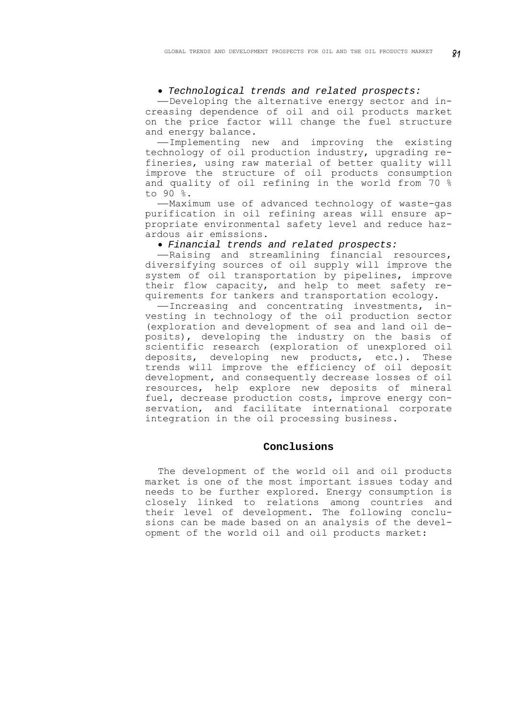#### • *Technological trends and related prospects:*

-Developing the alternative energy sector and increasing dependence of oil and oil products market on the price factor will change the fuel structure and energy balance.

-Implementing new and improving the existing technology of oil production industry, upgrading refineries, using raw material of better quality will improve the structure of oil products consumption and quality of oil refining in the world from 70 % to 90 %.

-Maximum use of advanced technology of waste-gas purification in oil refining areas will ensure appropriate environmental safety level and reduce hazardous air emissions.

• *Financial trends and related prospects:* 

-Raising and streamlining financial resources, diversifying sources of oil supply will improve the system of oil transportation by pipelines, improve their flow capacity, and help to meet safety requirements for tankers and transportation ecology.

-Increasing and concentrating investments, investing in technology of the oil production sector (exploration and development of sea and land oil deposits), developing the industry on the basis of scientific research (exploration of unexplored oil deposits, developing new products, etc.). These trends will improve the efficiency of oil deposit development, and consequently decrease losses of oil resources, help explore new deposits of mineral fuel, decrease production costs, improve energy conservation, and facilitate international corporate integration in the oil processing business.

#### **Conclusions**

The development of the world oil and oil products market is one of the most important issues today and needs to be further explored. Energy consumption is closely linked to relations among countries and their level of development. The following conclusions can be made based on an analysis of the development of the world oil and oil products market: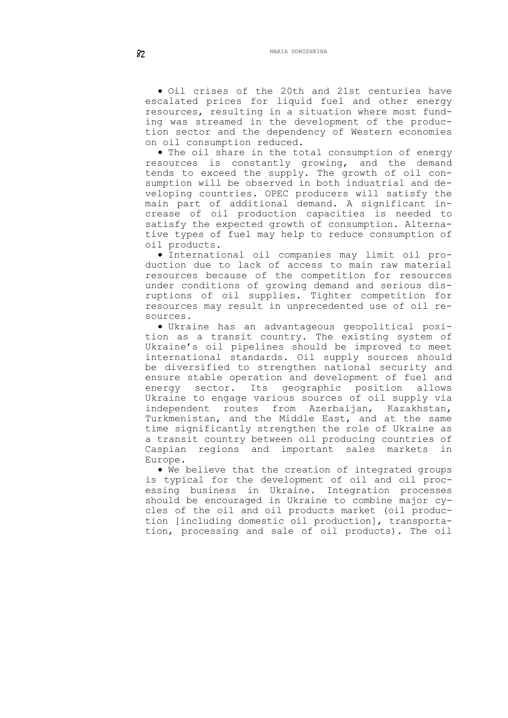• Oil crises of the 20th and 21st centuries have escalated prices for liquid fuel and other energy resources, resulting in a situation where most funding was streamed in the development of the production sector and the dependency of Western economies on oil consumption reduced.

• The oil share in the total consumption of energy resources is constantly growing, and the demand tends to exceed the supply. The growth of oil consumption will be observed in both industrial and developing countries. OPEC producers will satisfy the main part of additional demand. A significant increase of oil production capacities is needed to satisfy the expected growth of consumption. Alternative types of fuel may help to reduce consumption of oil products.

• International oil companies may limit oil production due to lack of access to main raw material resources because of the competition for resources under conditions of growing demand and serious disruptions of oil supplies. Tighter competition for resources may result in unprecedented use of oil resources.

• Ukraine has an advantageous geopolitical position as a transit country. The existing system of Ukraine's oil pipelines should be improved to meet international standards. Oil supply sources should be diversified to strengthen national security and ensure stable operation and development of fuel and energy sector. Its geographic position allows Ukraine to engage various sources of oil supply via independent routes from Azerbaijan, Kazakhstan, Turkmenistan, and the Middle East, and at the same time significantly strengthen the role of Ukraine as a transit country between oil producing countries of Caspian regions and important sales markets in Europe.

• We believe that the creation of integrated groups is typical for the development of oil and oil processing business in Ukraine. Integration processes should be encouraged in Ukraine to combine major cycles of the oil and oil products market (oil production [including domestic oil production], transportation, processing and sale of oil products). The oil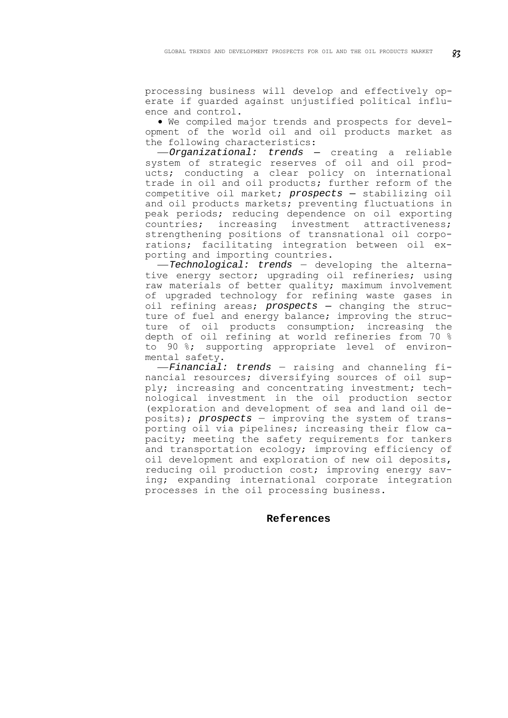processing business will develop and effectively operate if guarded against unjustified political influence and control.

• We compiled major trends and prospects for development of the world oil and oil products market as the following characteristics:

⎯*Organizational: trends —* creating a reliable system of strategic reserves of oil and oil products; conducting a clear policy on international trade in oil and oil products; further reform of the competitive oil market; *prospects —* stabilizing oil and oil products markets; preventing fluctuations in peak periods; reducing dependence on oil exporting countries; increasing investment attractiveness; strengthening positions of transnational oil corporations; facilitating integration between oil exporting and importing countries.

⎯*Technological: trends* — developing the alternative energy sector; upgrading oil refineries; using raw materials of better quality; maximum involvement of upgraded technology for refining waste gases in oil refining areas; *prospects —* changing the structure of fuel and energy balance; improving the structure of oil products consumption; increasing the depth of oil refining at world refineries from 70 % to 90 %; supporting appropriate level of environmental safety.

⎯*Financial: trends* — raising and channeling financial resources; diversifying sources of oil supply; increasing and concentrating investment; technological investment in the oil production sector (exploration and development of sea and land oil deposits); *prospects* — improving the system of transporting oil via pipelines; increasing their flow capacity; meeting the safety requirements for tankers and transportation ecology; improving efficiency of oil development and exploration of new oil deposits, reducing oil production cost; improving energy saving; expanding international corporate integration processes in the oil processing business.

#### **References**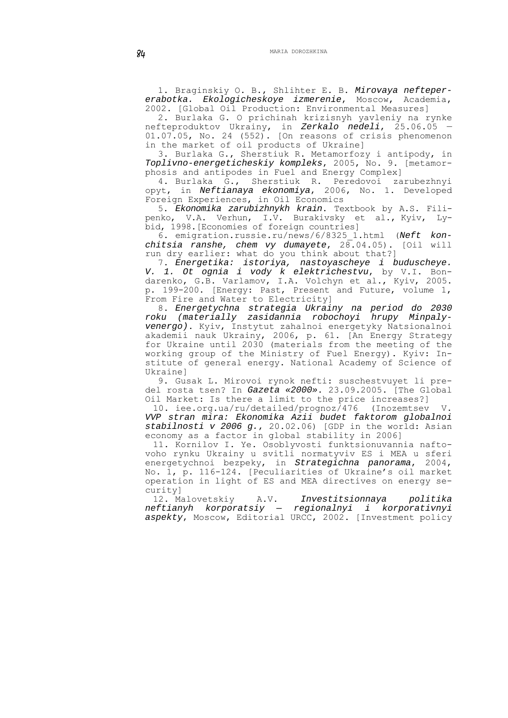1. Braginskiy O. B., Shlihter E. B. *Mirovaya neftepererabotka. Ekologicheskoye izmerenie*, Мoscow, Academia, 2002. [Global Oil Production: Environmental Measures]

2. Burlaka G. O prichinah krizisnyh yavleniy na rynke nefteproduktov Ukrainy, in *Zerkalo nedeli*, 25.06.05 — 01.07.05, No. 24 (552). [On reasons of crisis phenomenon in the market of oil products of Ukraine]

3. Burlaka G., Sherstiuk R. Metamorfozy i antipody, in *Toplivno-energeticheskiy kompleks*, 2005, No. 9. [metamorphosis and antipodes in Fuel and Energy Complex]

4. Burlaka G., Sherstiuk R. Peredovoi zarubezhnyi opyt, in *Neftianaya ekonomiya*, 2006, No. 1. Developed Foreign Experiences, in Oil Economics

5. *Ekonomika zarubizhnykh krain*. Textbook by A.S. Filipenko, V.A. Verhun, I.V. Burakivsky et al., Kyiv, Lybid, 1998.[Economies of foreign countries]

6. [emigration.russie.ru/news/6/8325\\_1.html](http://emigration.russie.ru/news/6/8325_1.html) (*Neft konchitsia ranshe, chem vy dumayete*, 28.04.05). [Oil will run dry earlier: what do you think about that?]

7. *Energetika: istoriya, nastoyascheye i buduscheye. V. 1. Ot ognia i vody k elektrichestvu*, by V.I. Bondarenko, G.B. Varlamov, I.A. Volchyn et al., Kyiv, 2005. p. 199-200. [Energy: Past, Present and Future, volume 1, From Fire and Water to Electricity]

8. *Energetychna strategia Ukrainy na period do 2030 roku (materially zasidannia robochoyi hrupy Minpalyvenergo)*. Кyiv, Instytut zahalnoi energetyky Natsionalnoi akademii nauk Ukrainy, 2006, p. 61. [An Energy Strategy for Ukraine until 2030 (materials from the meeting of the working group of the Ministry of Fuel Energy). Kyiv: Institute of general energy. National Academy of Science of Ukraine]

9. Gusak L. Mirovoi rynok nefti: suschestvuyet li predel rosta tsen? In *Gazeta «2000»*. 23.09.2005. [The Global Oil Market: Is there a limit to the price increases?]

10. [iee.org.ua/ru/detailed/prognoz/476](http://iee.org.ua/ru/detailed/prognoz/476) (Inozemtsev V. *VVP stran mira: Ekonomika Azii budet faktorom globalnoi stabilnosti v 2006 g.*, 20.02.06) [GDP in the world: Asian economy as a factor in global stability in 2006]

11. Kornilov I. Ye. Osoblyvosti funktsionuvannia naftovoho rynku Ukrainy u svitli normatyviv ES i MEA u sferi energetychnoi bezpeky, in *Strategichna panorama*, 2004, No. 1, p. 116-124. [Peculiarities of Ukraine's oil market operation in light of ES and MEA directives on energy security]

12. Malovetskiy A.V. *Investitsionnaya politika neftianyh korporatsiy — regionalnyi i korporativnyi aspekty*, Moscow, Editorial URCC, 2002. [Investment policy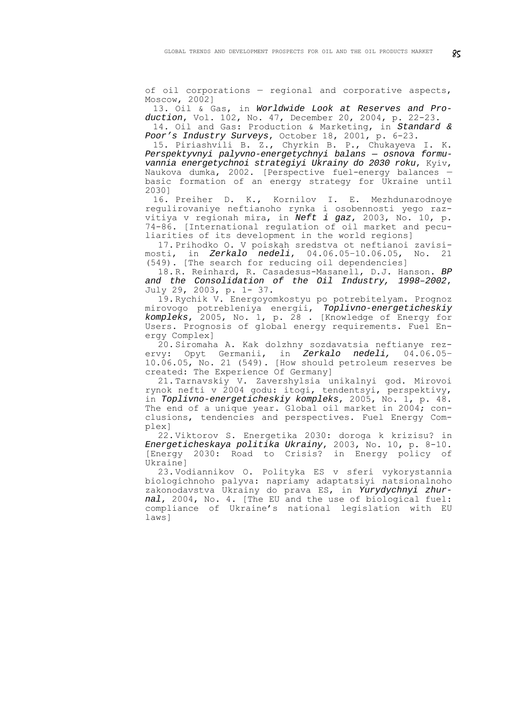of oil corporations — regional and corporative aspects, Moscow, 2002]

13. Oil & Gas, in *Worldwide Look at Reserves and Production*, Vol. 102, No. 47, December 20, 2004, p. 22-23. 14. Oil and Gas: Production & Marketing, in *Standard &* 

*Poor's Industry Surveys*, October 18, 2001, p. 6-23. 15. Piriashvili B. Z., Chyrkin B. P., Chukayeva I. K. *Perspektyvnyi palyvno-energetychnyi balans — osnova formuvannia energetychnoi strategiyi Ukrainy do 2030 roku*, Kyiv, Naukova dumka, 2002. [Perspective fuel-energy balances basic formation of an energy strategy for Ukraine until 2030]

16. Preiher D. K., Kornilov I. E. Mezhdunarodnoye regulirovaniye neftianoho rynka i osobennosti yego razvitiya v regionah mira, in *Neft i gaz*, 2003, No. 10, p. 74-86. [International regulation of oil market and peculiarities of its development in the world regions]

17.Prihodko O. V poiskah sredstva ot neftianoi zavisimosti, in *Zerkalo nedeli*, 04.06.05–10.06.05, No. 21 (549). [The search for reducing oil dependencies]

18.R. Reinhard, R. Casadesus-Masanell, D.J. Hanson. *BP and the Consolidation of the Oil Industry, 1998–2002*, July 29, 2003, p. 1- 37.

19.Rychik V. Energoyomkostyu po potrebitelyam. Prognoz mirovogo potrebleniya energii, *Toplivno-energeticheskiy kompleks*, 2005, No. 1, p. 28 . [Knowledge of Energy for Users. Prognosis of global energy requirements. Fuel Energy Complex]

20.Siromaha A. Kak dolzhny sozdavatsia neftianye rezervy: Opyt Germanii, in *Zerkalo nedeli,* 04.06.05– 10.06.05, No. 21 (549). [How should petroleum reserves be created: The Experience Of Germany]

21.Tarnavskiy V. Zavershylsia unikalnyi god. Mirovoi rynok nefti v 2004 godu: itogi, tendentsyi, perspektivy, in *Toplivno-energeticheskiy kompleks*, 2005, No. 1, p. 48. The end of a unique year. Global oil market in 2004; conclusions, tendencies and perspectives. Fuel Energy Complex]

22.Viktorov S. Energetika 2030: doroga k krizisu? in *Energeticheskaya politika Ukrainy*, 2003, No. 10, p. 8-10. [Energy 2030: Road to Crisis? in Energy policy of Ukraine]

23.[Vodiannikov](http://justinian.com.ua/author.php?id=383) О. Polityka ES v sferi vykorystannia biologichnoho palyva: napriamy adaptatsiyi natsionalnoho zakonodavstva Ukrainy do prava ES, in *Yurydychnyi zhurnal*, 2004, No. 4. [The EU and the use of biological fuel: compliance of Ukraine's national legislation with EU laws]